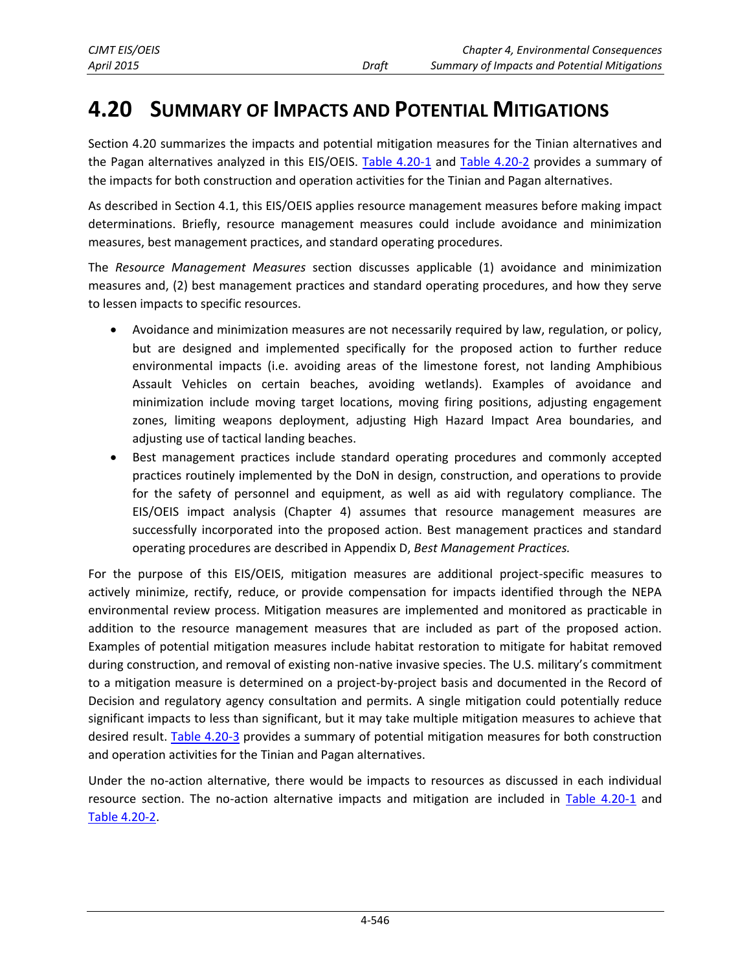Section 4.20 summarizes the impacts and potential mitigation measures for the Tinian alternatives and the Pagan alternatives analyzed in this EIS/OEIS. [Table 4.20-1](#page-1-0) and [Table 4.20-2](#page-9-0) provides a summary of the impacts for both construction and operation activities for the Tinian and Pagan alternatives.

As described in Section 4.1, this EIS/OEIS applies resource management measures before making impact determinations. Briefly, resource management measures could include avoidance and minimization measures, best management practices, and standard operating procedures.

The *Resource Management Measures* section discusses applicable (1) avoidance and minimization measures and, (2) best management practices and standard operating procedures, and how they serve to lessen impacts to specific resources.

- Avoidance and minimization measures are not necessarily required by law, regulation, or policy, but are designed and implemented specifically for the proposed action to further reduce environmental impacts (i.e. avoiding areas of the limestone forest, not landing Amphibious Assault Vehicles on certain beaches, avoiding wetlands). Examples of avoidance and minimization include moving target locations, moving firing positions, adjusting engagement zones, limiting weapons deployment, adjusting High Hazard Impact Area boundaries, and adjusting use of tactical landing beaches.
- Best management practices include standard operating procedures and commonly accepted practices routinely implemented by the DoN in design, construction, and operations to provide for the safety of personnel and equipment, as well as aid with regulatory compliance. The EIS/OEIS impact analysis (Chapter 4) assumes that resource management measures are successfully incorporated into the proposed action. Best management practices and standard operating procedures are described in Appendix D, *Best Management Practices.*

For the purpose of this EIS/OEIS, mitigation measures are additional project-specific measures to actively minimize, rectify, reduce, or provide compensation for impacts identified through the NEPA environmental review process. Mitigation measures are implemented and monitored as practicable in addition to the resource management measures that are included as part of the proposed action. Examples of potential mitigation measures include habitat restoration to mitigate for habitat removed during construction, and removal of existing non-native invasive species. The U.S. military's commitment to a mitigation measure is determined on a project-by-project basis and documented in the Record of Decision and regulatory agency consultation and permits. A single mitigation could potentially reduce significant impacts to less than significant, but it may take multiple mitigation measures to achieve that desired result. [Table 4.20-3](#page-13-0) provides a summary of potential mitigation measures for both construction and operation activities for the Tinian and Pagan alternatives.

Under the no-action alternative, there would be impacts to resources as discussed in each individual resource section. The no-action alternative impacts and mitigation are included in [Table 4.20-1](#page-1-0) and [Table 4.20-2.](#page-9-0)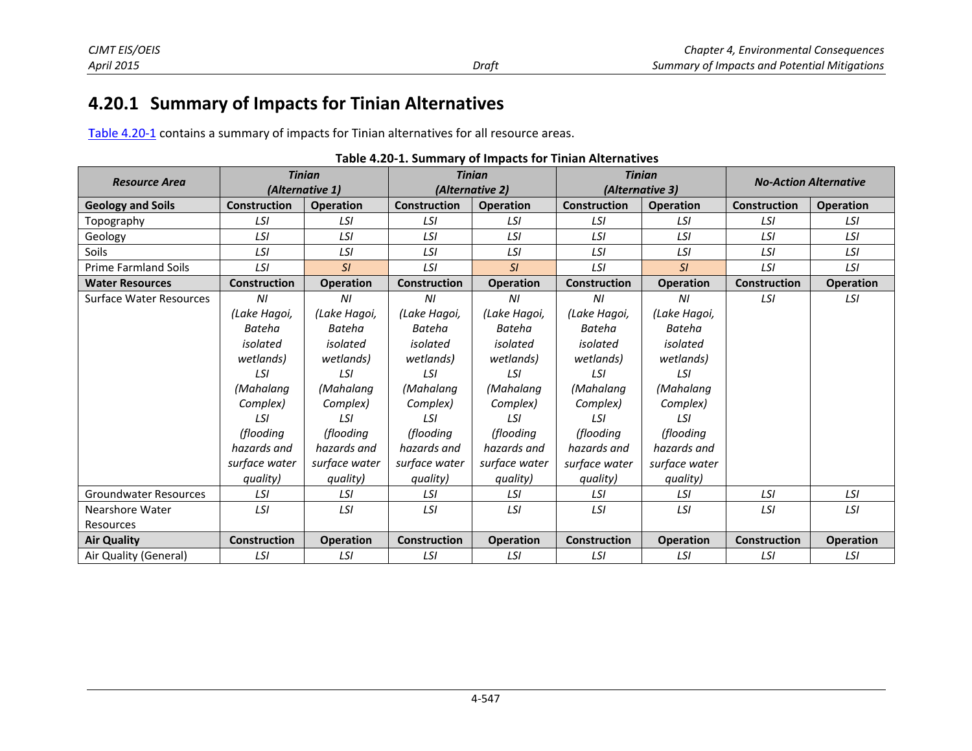## **4 4.20.1 Sum mmary of Im mpacts for Ti inian Altern natives**

Table 4.20-1 contains a summary of impacts for Tinian alternatives for all resource areas.

|                                | <b>Tinian</b>       |                  | <b>Tinian</b>       |                  |                     | <b>Tinian</b>    |                     | <b>No-Action Alternative</b> |  |
|--------------------------------|---------------------|------------------|---------------------|------------------|---------------------|------------------|---------------------|------------------------------|--|
| <b>Resource Area</b>           |                     | (Alternative 1)  |                     | (Alternative 2)  | (Alternative 3)     |                  |                     |                              |  |
| <b>Geology and Soils</b>       | <b>Construction</b> | <b>Operation</b> | <b>Construction</b> | <b>Operation</b> | <b>Construction</b> | <b>Operation</b> | <b>Construction</b> | <b>Operation</b>             |  |
| Topography                     | LSI                 | LSI              | LSI                 | LSI              | LSI                 | LSI              | LSI                 | LSI                          |  |
| Geology                        | LSI                 | LSI              | LSI                 | LSI              | LSI                 | LSI              | LSI                 | LSI                          |  |
| <b>Soils</b>                   | LSI                 | LSI              | LSI                 | LSI              | LSI                 | LSI              | LSI                 | LSI                          |  |
| <b>Prime Farmland Soils</b>    | LSI                 | SI               | LSI                 | SI               | LSI                 | SI               | LSI                 | LSI                          |  |
| <b>Water Resources</b>         | <b>Construction</b> | <b>Operation</b> | <b>Construction</b> | <b>Operation</b> | <b>Construction</b> | <b>Operation</b> | <b>Construction</b> | <b>Operation</b>             |  |
| <b>Surface Water Resources</b> | ΝI                  | ΝI               | ΝI                  | ΝI               | ΝI                  | ΝI               | LSI                 | LSI                          |  |
|                                | (Lake Hagoi,        | (Lake Hagoi,     | (Lake Hagoi,        | (Lake Hagoi,     | (Lake Hagoi,        | (Lake Hagoi,     |                     |                              |  |
|                                | <b>Bateha</b>       | <b>Bateha</b>    | Bateha              | <b>Bateha</b>    | Bateha              | <b>Bateha</b>    |                     |                              |  |
|                                | isolated            | isolated         | isolated            | isolated         | isolated            | isolated         |                     |                              |  |
|                                | wetlands)           | wetlands)        | wetlands)           | wetlands)        | wetlands)           | wetlands)        |                     |                              |  |
|                                | LSI                 | LSI              | LSI                 | LSI              | LSI                 | LSI              |                     |                              |  |
|                                | (Mahalana           | (Mahalang        | (Mahalang           | (Mahalang        | (Mahalang           | (Mahalang        |                     |                              |  |
|                                | Complex)            | Complex)         | Complex)            | Complex)         | Complex)            | Complex)         |                     |                              |  |
|                                | LSI                 | LSI              | LSI                 | LSI              | LSI                 | LSI              |                     |                              |  |
|                                | (flooding           | (flooding        | (flooding           | (flooding        | (flooding           | (flooding        |                     |                              |  |
|                                | hazards and         | hazards and      | hazards and         | hazards and      | hazards and         | hazards and      |                     |                              |  |
|                                | surface water       | surface water    | surface water       | surface water    | surface water       | surface water    |                     |                              |  |
|                                | quality)            | quality)         | quality)            | quality)         | quality)            | quality)         |                     |                              |  |
| <b>Groundwater Resources</b>   | LSI                 | LSI              | LSI                 | LSI              | LSI                 | LSI              | LSI                 | LSI                          |  |
| Nearshore Water                | LSI                 | LSI              | LSI                 | LSI              | LSI                 | LSI              | LSI                 | LSI                          |  |
| Resources                      |                     |                  |                     |                  |                     |                  |                     |                              |  |
| <b>Air Quality</b>             | <b>Construction</b> | <b>Operation</b> | <b>Construction</b> | <b>Operation</b> | <b>Construction</b> | <b>Operation</b> | <b>Construction</b> | <b>Operation</b>             |  |
| Air Quality (General)          | LSI                 | LSI              | LSI                 | LSI              | LSI                 | LSI              | LSI                 | LSI                          |  |

<span id="page-1-0"></span>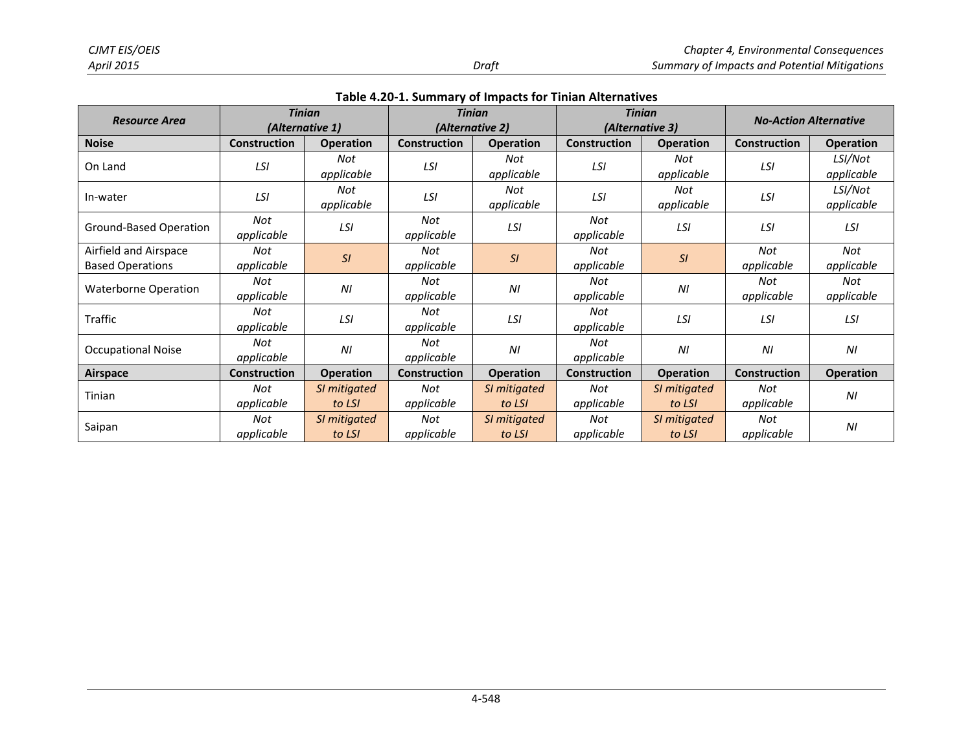| <b>Resource Area</b>                             |                     | <b>Tinian</b><br>(Alternative 1) | <b>Tinian</b><br>(Alternative 2) |                        | <b>Tinian</b><br>(Alternative 3) |                        | <b>No-Action Alternative</b> |                       |
|--------------------------------------------------|---------------------|----------------------------------|----------------------------------|------------------------|----------------------------------|------------------------|------------------------------|-----------------------|
| <b>Noise</b>                                     | <b>Construction</b> | <b>Operation</b>                 | <b>Construction</b>              | <b>Operation</b>       | <b>Construction</b>              | <b>Operation</b>       | <b>Construction</b>          | <b>Operation</b>      |
| On Land                                          | LSI                 | Not<br>applicable                | LSI                              | Not<br>applicable      | LSI                              | Not<br>applicable      | LSI                          | LSI/Not<br>applicable |
| In-water                                         | LSI                 | Not<br>applicable                | LSI                              | Not<br>applicable      | LSI                              | Not<br>applicable      | LSI                          | LSI/Not<br>applicable |
| Ground-Based Operation                           | Not<br>applicable   | LSI                              | Not<br>applicable                | LSI                    | Not<br>applicable                | LSI                    | LSI                          | LSI                   |
| Airfield and Airspace<br><b>Based Operations</b> | Not<br>applicable   | SI                               | Not<br>applicable                | SI                     | Not<br>applicable                | SI                     | Not<br>applicable            | Not<br>applicable     |
| <b>Waterborne Operation</b>                      | Not<br>applicable   | NI                               | Not<br>applicable                | N <sub>l</sub>         | Not<br>applicable                | N <sub>l</sub>         | Not<br>applicable            | Not<br>applicable     |
| Traffic                                          | Not<br>applicable   | LSI                              | Not<br>applicable                | LSI                    | Not<br>applicable                | LSI                    | LSI                          | LSI                   |
| <b>Occupational Noise</b>                        | Not<br>applicable   | ΝI                               | Not<br>applicable                | ΝI                     | Not<br>applicable                | N <sub>l</sub>         | ΝI                           | N <sub>l</sub>        |
| <b>Airspace</b>                                  | <b>Construction</b> | <b>Operation</b>                 | <b>Construction</b>              | <b>Operation</b>       | <b>Construction</b>              | <b>Operation</b>       | Construction                 | <b>Operation</b>      |
| Tinian                                           | Not<br>applicable   | SI mitigated<br>to LSI           | Not<br>applicable                | SI mitigated<br>to LSI | Not<br>applicable                | SI mitigated<br>to LSI | Not<br>applicable            | N <sub>l</sub>        |
| Saipan                                           | Not<br>applicable   | SI mitigated<br>to LSI           | Not<br>applicable                | SI mitigated<br>to LSI | Not<br>applicable                | SI mitigated<br>to LSI | Not<br>applicable            | ΝI                    |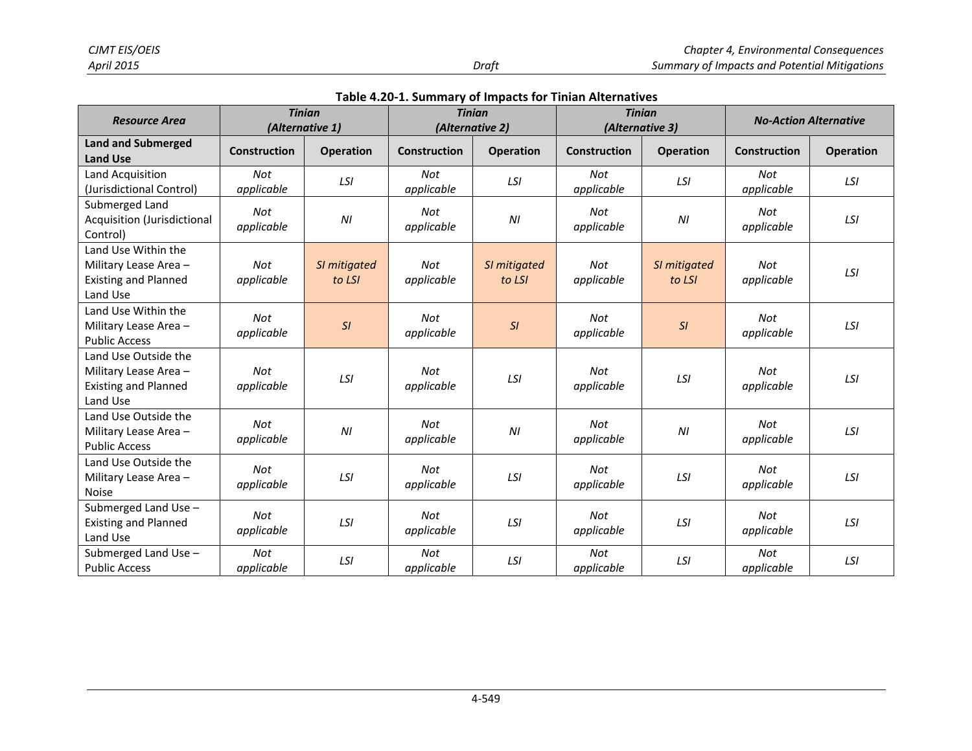|  |  |  |  | Table 4.20-1. Summary of Impacts for Tinian Alternatives |
|--|--|--|--|----------------------------------------------------------|
|--|--|--|--|----------------------------------------------------------|

| <b>Resource Area</b>                                                                     |                          | <b>Tinian</b><br>(Alternative 1) |                     | <b>Tinian</b><br>(Alternative 2) |                          | <b>Tinian</b><br>(Alternative 3) | <b>No-Action Alternative</b> |                  |
|------------------------------------------------------------------------------------------|--------------------------|----------------------------------|---------------------|----------------------------------|--------------------------|----------------------------------|------------------------------|------------------|
| <b>Land and Submerged</b><br><b>Land Use</b>                                             | <b>Construction</b>      | <b>Operation</b>                 | <b>Construction</b> | <b>Operation</b>                 | <b>Construction</b>      | <b>Operation</b>                 | <b>Construction</b>          | <b>Operation</b> |
| Land Acquisition<br>(Jurisdictional Control)                                             | <b>Not</b><br>applicable | LSI                              | Not<br>applicable   | LSI                              | Not<br>applicable        | LSI                              | <b>Not</b><br>applicable     | LSI              |
| Submerged Land<br>Acquisition (Jurisdictional<br>Control)                                | Not<br>applicable        | ΝI                               | Not<br>applicable   | ΝI                               | Not<br>applicable        | $\sqrt{M}$                       | Not<br>applicable            | LSI              |
| Land Use Within the<br>Military Lease Area -<br><b>Existing and Planned</b><br>Land Use  | <b>Not</b><br>applicable | SI mitigated<br>to LSI           | Not<br>applicable   | SI mitigated<br>to LSI           | <b>Not</b><br>applicable | SI mitigated<br>to LSI           | Not<br>applicable            | LSI              |
| Land Use Within the<br>Military Lease Area -<br><b>Public Access</b>                     | Not<br>applicable        | SI                               | Not<br>applicable   | SI                               | Not<br>applicable        | SI                               | Not<br>applicable            | LSI              |
| Land Use Outside the<br>Military Lease Area -<br><b>Existing and Planned</b><br>Land Use | <b>Not</b><br>applicable | LSI                              | Not<br>applicable   | LSI                              | Not<br>applicable        | LSI                              | Not<br>applicable            | LSI              |
| Land Use Outside the<br>Military Lease Area -<br><b>Public Access</b>                    | <b>Not</b><br>applicable | ΝI                               | Not<br>applicable   | N <sub>l</sub>                   | Not<br>applicable        | N <sub>l</sub>                   | Not<br>applicable            | LSI              |
| Land Use Outside the<br>Military Lease Area -<br><b>Noise</b>                            | Not<br>applicable        | LSI                              | Not<br>applicable   | LSI                              | Not<br>applicable        | LSI                              | Not<br>applicable            | LSI              |
| Submerged Land Use -<br><b>Existing and Planned</b><br>Land Use                          | <b>Not</b><br>applicable | LSI                              | Not<br>applicable   | LSI                              | <b>Not</b><br>applicable | LSI                              | Not<br>applicable            | LSI              |
| Submerged Land Use -<br><b>Public Access</b>                                             | Not<br>applicable        | LSI                              | Not<br>applicable   | LSI                              | Not<br>applicable        | LSI                              | Not<br>applicable            | LSI              |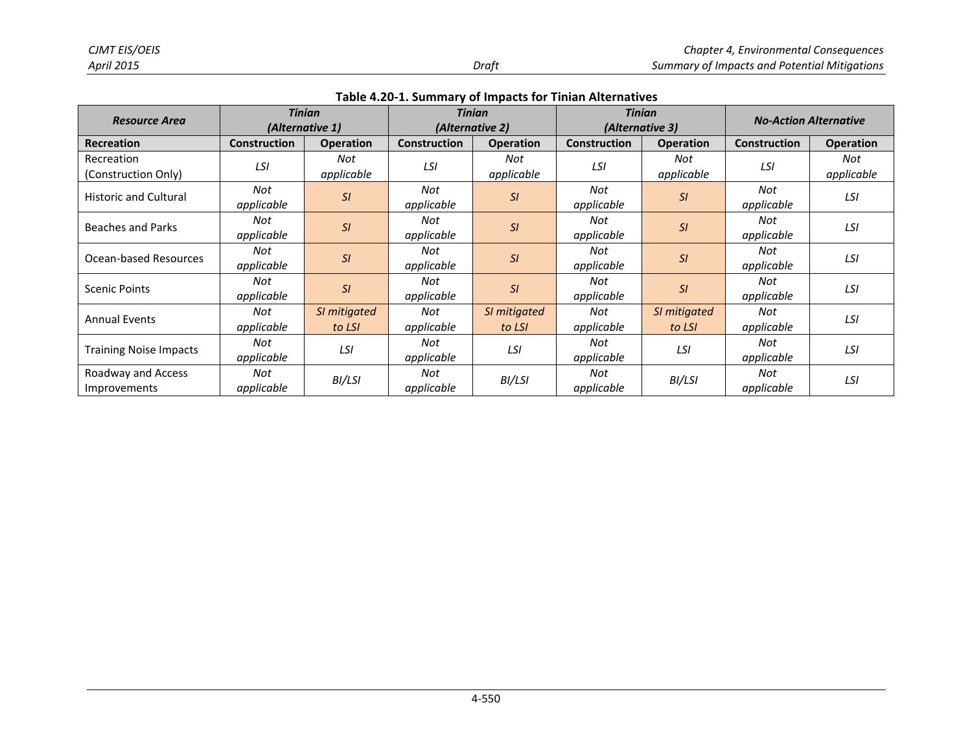|                                    |                     | <b>Tinian</b>          |                   | <b>Tinian</b>          |                     | <b>Tinian</b>          | <b>No-Action Alternative</b> |                   |
|------------------------------------|---------------------|------------------------|-------------------|------------------------|---------------------|------------------------|------------------------------|-------------------|
| <b>Resource Area</b>               | (Alternative 1)     |                        |                   | (Alternative 2)        |                     | (Alternative 3)        |                              |                   |
| <b>Recreation</b>                  | <b>Construction</b> | <b>Operation</b>       | Construction      | <b>Operation</b>       | <b>Construction</b> | <b>Operation</b>       | <b>Construction</b>          | <b>Operation</b>  |
| Recreation<br>(Construction Only)  | LSI                 | Not<br>applicable      | LSI               | Not<br>applicable      | LSI                 | Not<br>applicable      | LSI                          | Not<br>applicable |
| <b>Historic and Cultural</b>       | Not<br>applicable   | SI                     | Not<br>applicable | SI                     | Not<br>applicable   | SI                     | Not<br>applicable            | LSI               |
| <b>Beaches and Parks</b>           | Not<br>applicable   | SI                     | Not<br>applicable | SI                     | Not<br>applicable   | SI                     | Not<br>applicable            | LSI               |
| Ocean-based Resources              | Not<br>applicable   | SI                     | Not<br>applicable | SI                     | Not<br>applicable   | SI                     | Not<br>applicable            | LSI               |
| <b>Scenic Points</b>               | Not<br>applicable   | SI                     | Not<br>applicable | SI                     | Not<br>applicable   | SI                     | Not<br>applicable            | LSI               |
| <b>Annual Events</b>               | Not<br>applicable   | SI mitigated<br>to LSI | Not<br>applicable | SI mitigated<br>to LSI | Not<br>applicable   | SI mitigated<br>to LSI | Not<br>applicable            | LSI               |
| <b>Training Noise Impacts</b>      | Not<br>applicable   | LSI                    | Not<br>applicable | LSI                    | Not<br>applicable   | LSI                    | Not<br>applicable            | LSI               |
| Roadway and Access<br>Improvements | Not<br>applicable   | BI/LSI                 | Not<br>applicable | BI/LSI                 | Not<br>applicable   | BI/LSI                 | Not<br>applicable            | LSI               |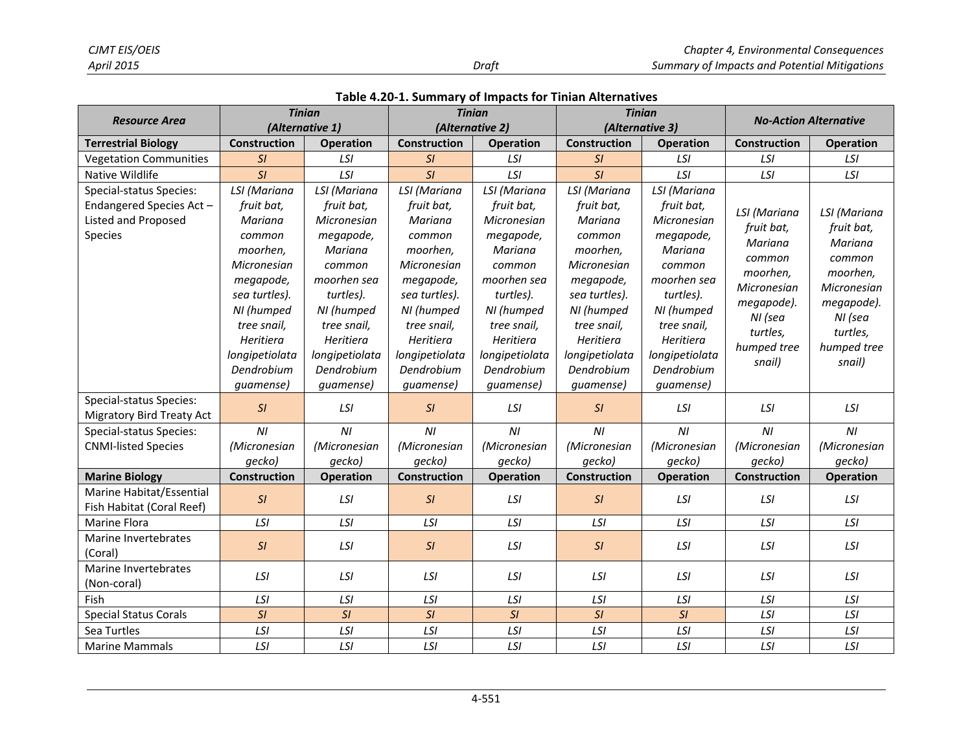|                                                       | <b>Tinian</b>         |                           | <b>Tinian</b>         |                           | <b>Tinian</b>         |                           | <b>No-Action Alternative</b> |                  |
|-------------------------------------------------------|-----------------------|---------------------------|-----------------------|---------------------------|-----------------------|---------------------------|------------------------------|------------------|
| <b>Resource Area</b>                                  | (Alternative 1)       |                           | (Alternative 2)       |                           | (Alternative 3)       |                           |                              |                  |
| <b>Terrestrial Biology</b>                            | Construction          | <b>Operation</b>          | <b>Construction</b>   | <b>Operation</b>          | Construction          | <b>Operation</b>          | Construction                 | <b>Operation</b> |
| <b>Vegetation Communities</b>                         | SI                    | LSI                       | SI                    | LSI                       | SI                    | LSI                       | LSI                          | LSI              |
| Native Wildlife                                       | SI                    | LSI                       | SI                    | LSI                       | SI                    | LSI                       | LSI                          | LSI              |
| Special-status Species:                               | LSI (Mariana          | LSI (Mariana              | LSI (Mariana          | LSI (Mariana              | LSI (Mariana          | LSI (Mariana              |                              |                  |
| Endangered Species Act-<br>Listed and Proposed        | fruit bat,<br>Mariana | fruit bat,<br>Micronesian | fruit bat,<br>Mariana | fruit bat,<br>Micronesian | fruit bat,<br>Mariana | fruit bat,<br>Micronesian | LSI (Mariana                 | LSI (Mariana     |
| Species                                               | common                | megapode,                 | common                | megapode,                 | common                | megapode,                 | fruit bat,                   | fruit bat,       |
|                                                       | moorhen,              | Mariana                   | moorhen,              | Mariana                   | moorhen,              | Mariana                   | Mariana                      | Mariana          |
|                                                       | Micronesian           | common                    | Micronesian           | common                    | Micronesian           | common                    | common                       | common           |
|                                                       | megapode,             | moorhen sea               | megapode,             | moorhen sea               | megapode,             | moorhen sea               | moorhen,                     | moorhen,         |
|                                                       | sea turtles).         | turtles).                 | sea turtles).         | turtles).                 | sea turtles).         | turtles).                 | Micronesian                  | Micronesian      |
|                                                       | NI (humped            | NI (humped                | NI (humped            | NI (humped                | NI (humped            | NI (humped                | megapode).                   | megapode).       |
|                                                       | tree snail,           | tree snail,               | tree snail,           | tree snail,               | tree snail,           | tree snail,               | NI (sea                      | NI (sea          |
|                                                       | Heritiera             | Heritiera                 | Heritiera             | Heritiera                 | Heritiera             | Heritiera                 | turtles,                     | turtles,         |
|                                                       | longipetiolata        | longipetiolata            | longipetiolata        | longipetiolata            | longipetiolata        | longipetiolata            | humped tree                  | humped tree      |
|                                                       | Dendrobium            | Dendrobium                | Dendrobium            | Dendrobium                | Dendrobium            | Dendrobium                | snail)                       | snail)           |
|                                                       | quamense)             | quamense)                 | quamense)             | quamense)                 | quamense)             | quamense)                 |                              |                  |
| Special-status Species:                               |                       |                           |                       |                           |                       |                           |                              |                  |
| <b>Migratory Bird Treaty Act</b>                      | SI                    | LSI                       | SI                    | LSI                       | SI                    | LSI                       | LSI                          | LSI              |
| Special-status Species:                               | NI                    | NI                        | NI                    | N <sub>l</sub>            | NI                    | N <sub>l</sub>            | NI                           | NI               |
| <b>CNMI-listed Species</b>                            | (Micronesian          | (Micronesian              | (Micronesian          | (Micronesian              | (Micronesian          | (Micronesian              | (Micronesian                 | (Micronesian     |
|                                                       | gecko)                | gecko)                    | gecko)                | gecko)                    | gecko)                | gecko)                    | gecko)                       | gecko)           |
| <b>Marine Biology</b>                                 | <b>Construction</b>   | <b>Operation</b>          | Construction          | <b>Operation</b>          | Construction          | <b>Operation</b>          | Construction                 | <b>Operation</b> |
| Marine Habitat/Essential<br>Fish Habitat (Coral Reef) | SI                    | LSI                       | SI                    | LSI                       | SI                    | LSI                       | LSI                          | LSI              |
| <b>Marine Flora</b>                                   | LSI                   | LSI                       | LSI                   | LSI                       | LSI                   | LSI                       | LSI                          | LSI              |
| Marine Invertebrates<br>(Coral)                       | SI                    | LSI                       | SI                    | LSI                       | SI                    | LSI                       | LSI                          | LSI              |
| Marine Invertebrates<br>(Non-coral)                   | LSI                   | LSI                       | LSI                   | LSI                       | LSI                   | LSI                       | LSI                          | LSI              |
| Fish                                                  | LSI                   | LSI                       | LSI                   | LSI                       | LSI                   | LSI                       | LSI                          | LSI              |
| <b>Special Status Corals</b>                          | SI                    | SI                        | SI                    | SI                        | SI                    | SI                        | LSI                          | LSI              |
| Sea Turtles                                           | LSI                   | LSI                       | LSI                   | LSI                       | LSI                   | LSI                       | LSI                          | LSI              |
| <b>Marine Mammals</b>                                 | LSI                   | LSI                       | LSI                   | LSI                       | LSI                   | LSI                       | LSI                          | LSI              |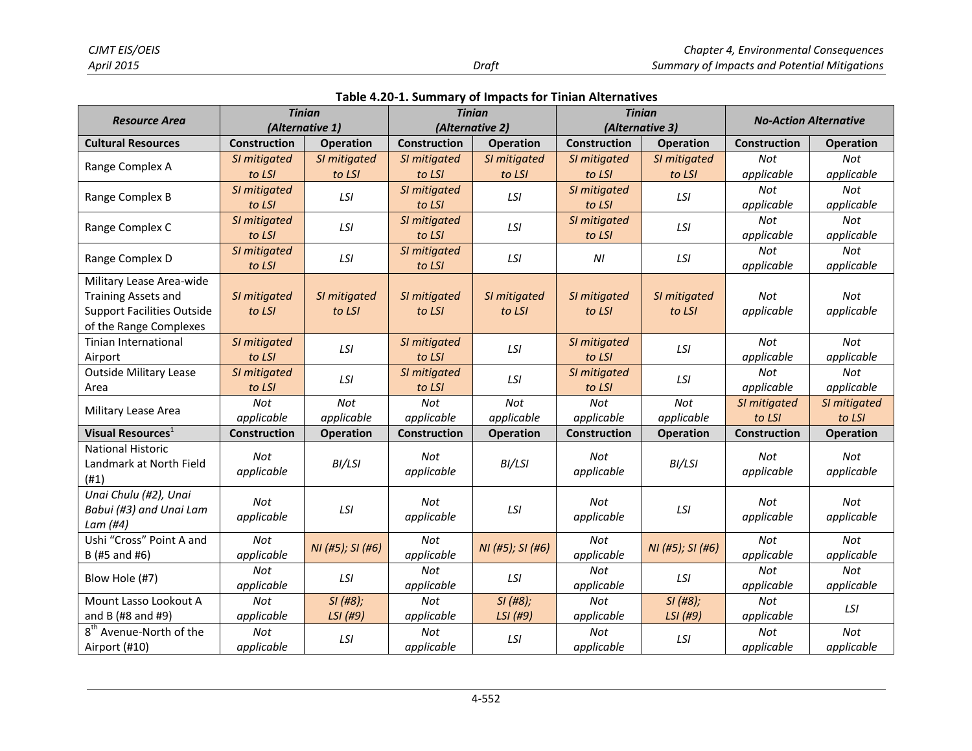|  | Table 4.20-1. Summary of Impacts for Tinian Alternatives |  |  |  |
|--|----------------------------------------------------------|--|--|--|
|--|----------------------------------------------------------|--|--|--|

| <b>Resource Area</b>                | <b>Tinian</b>       |                  |                     | <b>Tinian</b>    | <b>Tinian</b>       |                  | <b>No-Action Alternative</b> |                  |
|-------------------------------------|---------------------|------------------|---------------------|------------------|---------------------|------------------|------------------------------|------------------|
|                                     |                     | (Alternative 1)  |                     | (Alternative 2)  | (Alternative 3)     |                  |                              |                  |
| <b>Cultural Resources</b>           | <b>Construction</b> | <b>Operation</b> | <b>Construction</b> | <b>Operation</b> | <b>Construction</b> | <b>Operation</b> | <b>Construction</b>          | <b>Operation</b> |
| Range Complex A                     | SI mitigated        | SI mitigated     | SI mitigated        | SI mitigated     | SI mitigated        | SI mitigated     | Not                          | Not              |
|                                     | to LSI              | to LSI           | to LSI              | to LSI           | to LSI              | to LSI           | applicable                   | applicable       |
|                                     | SI mitigated        | LSI              | SI mitigated        | LSI              | SI mitigated        | LSI              | <b>Not</b>                   | Not              |
| Range Complex B                     | to LSI              |                  | to LSI              |                  | to LSI              |                  | applicable                   | applicable       |
|                                     | SI mitigated        | LSI              | SI mitigated        | LSI              | SI mitigated        | LSI              | <b>Not</b>                   | Not              |
| Range Complex C                     | to LSI              |                  | to LSI              |                  | to LSI              |                  | applicable                   | applicable       |
| Range Complex D                     | SI mitigated        | LSI              | SI mitigated        | LSI              | N <sub>l</sub>      | LSI              | Not                          | Not              |
|                                     | to LSI              |                  | to LSI              |                  |                     |                  | applicable                   | applicable       |
| Military Lease Area-wide            |                     |                  |                     |                  |                     |                  |                              |                  |
| <b>Training Assets and</b>          | SI mitigated        | SI mitigated     | SI mitigated        | SI mitigated     | SI mitigated        | SI mitigated     | Not                          | Not              |
| <b>Support Facilities Outside</b>   | to LSI              | to LSI           | to LSI              | to LSI           | to LSI              | to LSI           | applicable                   | applicable       |
| of the Range Complexes              |                     |                  |                     |                  |                     |                  |                              |                  |
| <b>Tinian International</b>         | SI mitigated        | LSI              | SI mitigated        | LSI              | SI mitigated        | LSI              | Not                          | Not              |
| Airport                             | to LSI              |                  | to LSI              |                  | to LSI              |                  | applicable                   | applicable       |
| <b>Outside Military Lease</b>       | SI mitigated        | LSI              | SI mitigated        | LSI              | SI mitigated        | LSI              | Not                          | Not              |
| Area                                | to LSI              |                  | to LSI              |                  | to LSI              |                  | applicable                   | applicable       |
| Military Lease Area                 | <b>Not</b>          | Not              | Not                 | Not              | Not                 | Not              | SI mitigated                 | SI mitigated     |
|                                     | applicable          | applicable       | applicable          | applicable       | applicable          | applicable       | to LSI                       | to LSI           |
| Visual Resources <sup>1</sup>       | Construction        | <b>Operation</b> | Construction        | <b>Operation</b> | Construction        | <b>Operation</b> | Construction                 | <b>Operation</b> |
| <b>National Historic</b>            | Not                 |                  | Not                 |                  | Not                 |                  | <b>Not</b>                   | Not              |
| Landmark at North Field             | applicable          | BI/LSI           | applicable          | BI/LSI           | applicable          | BI/LSI           | applicable                   | applicable       |
| (H1)                                |                     |                  |                     |                  |                     |                  |                              |                  |
| Unai Chulu (#2), Unai               | Not                 |                  | Not                 |                  | Not                 |                  | Not                          | Not              |
| Babui (#3) and Unai Lam             | applicable          | LSI              | applicable          | LSI              | applicable          | LSI              | applicable                   | applicable       |
| Lam (#4)                            |                     |                  |                     |                  |                     |                  |                              |                  |
| Ushi "Cross" Point A and            | <b>Not</b>          | NI (#5); SI (#6) | Not                 | NI (#5); SI (#6) | Not                 | NI (#5); SI (#6) | Not                          | Not              |
| B (#5 and #6)                       | applicable          |                  | applicable          |                  | applicable          |                  | applicable                   | applicable       |
| Blow Hole (#7)                      | <b>Not</b>          | LSI              | Not                 | LSI              | <b>Not</b>          | LSI              | <b>Not</b>                   | Not              |
|                                     | applicable          |                  | applicable          |                  | applicable          |                  | applicable                   | applicable       |
| Mount Lasso Lookout A               | <b>Not</b>          | SI (H8);         | <b>Not</b>          | SI (H8);         | <b>Not</b>          | $SI$ (#8);       | Not                          | LSI              |
| and B (#8 and #9)                   | applicable          | LSI (#9)         | applicable          | LSI (#9)         | applicable          | LSI (#9)         | applicable                   |                  |
| 8 <sup>th</sup> Avenue-North of the | Not                 | LSI              | Not                 | LSI              | Not                 | LSI              | Not                          | Not              |
| Airport (#10)                       | applicable          |                  | applicable          |                  | applicable          |                  | applicable                   | applicable       |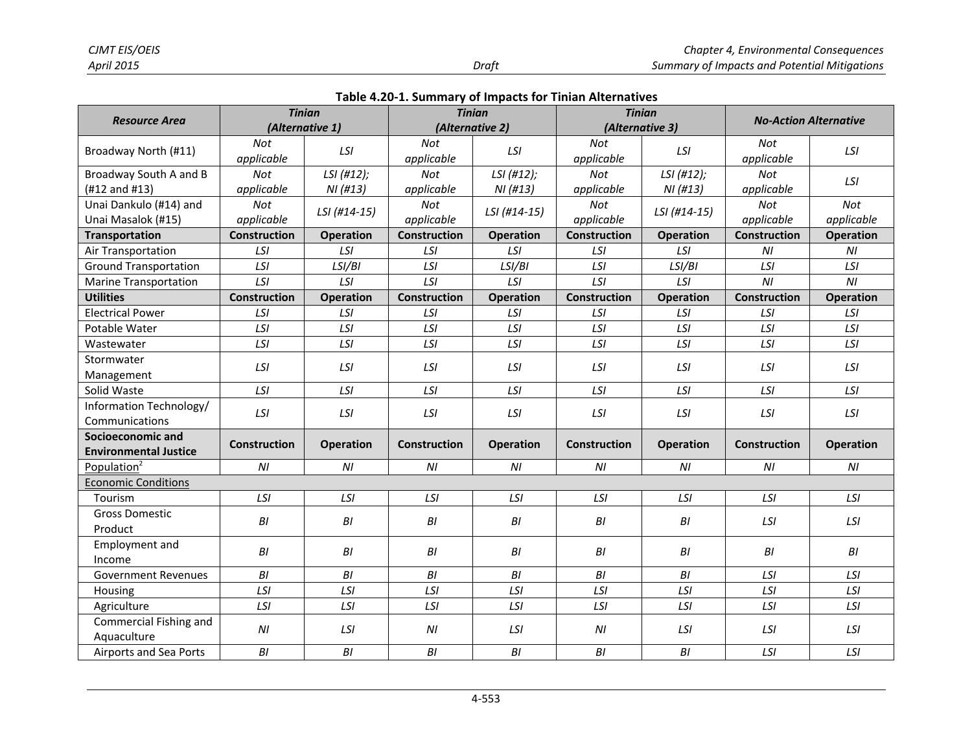|                                                   | <b>Tinian</b>            |                       |                          | <b>Tinian</b>          | <b>Tinian</b>       |                      | <b>No-Action Alternative</b> |                   |
|---------------------------------------------------|--------------------------|-----------------------|--------------------------|------------------------|---------------------|----------------------|------------------------------|-------------------|
| <b>Resource Area</b>                              | (Alternative 1)          |                       |                          | (Alternative 2)        |                     | (Alternative 3)      |                              |                   |
| Broadway North (#11)                              | Not<br>applicable        | LSI                   | Not<br>applicable        | LSI                    | Not<br>applicable   | LSI                  | Not<br>applicable            | LSI               |
| Broadway South A and B<br>(#12 and #13)           | Not<br>applicable        | LSI (#12);<br>NI(H13) | <b>Not</b><br>applicable | LSI (#12);<br>NI (#13) | Not<br>applicable   | LSI(H12);<br>NI(H13) | Not<br>applicable            | LSI               |
| Unai Dankulo (#14) and<br>Unai Masalok (#15)      | <b>Not</b><br>applicable | LSI (#14-15)          | Not<br>applicable        | LSI (#14-15)           | Not<br>applicable   | LSI (#14-15)         | Not<br>applicable            | Not<br>applicable |
| Transportation                                    | Construction             | <b>Operation</b>      | Construction             | <b>Operation</b>       | <b>Construction</b> | <b>Operation</b>     | Construction                 | <b>Operation</b>  |
| Air Transportation                                | LSI                      | LSI                   | LSI                      | LSI                    | LSI                 | LSI                  | NI                           | NI                |
| <b>Ground Transportation</b>                      | LSI                      | LSI/BI                | LSI                      | LSI/BI                 | LSI                 | LSI/BI               | LSI                          | LSI               |
| <b>Marine Transportation</b>                      | <b>LSI</b>               | LSI                   | LSI                      | LSI                    | LSI                 | LSI                  | NI                           | NI                |
| <b>Utilities</b>                                  | <b>Construction</b>      | <b>Operation</b>      | <b>Construction</b>      | <b>Operation</b>       | <b>Construction</b> | <b>Operation</b>     | Construction                 | <b>Operation</b>  |
| <b>Electrical Power</b>                           | LSI                      | LSI                   | LSI                      | LSI                    | LSI                 | LSI                  | LSI                          | LSI               |
| Potable Water                                     | LSI                      | LSI                   | LSI                      | LSI                    | LSI                 | LSI                  | LSI                          | LSI               |
| Wastewater                                        | LSI                      | LSI                   | LSI                      | LSI                    | LSI                 | LSI                  | LSI                          | LSI               |
| Stormwater<br>Management                          | LSI                      | LSI                   | LSI                      | LSI                    | LSI                 | LSI                  | LSI                          | LSI               |
| Solid Waste                                       | LSI                      | LSI                   | LSI                      | LSI                    | LSI                 | LSI                  | LSI                          | LSI               |
| Information Technology/<br>Communications         | LSI                      | LSI                   | LSI                      | LSI                    | LSI                 | LSI                  | LSI                          | LSI               |
| Socioeconomic and<br><b>Environmental Justice</b> | <b>Construction</b>      | <b>Operation</b>      | <b>Construction</b>      | <b>Operation</b>       | <b>Construction</b> | <b>Operation</b>     | <b>Construction</b>          | <b>Operation</b>  |
| Population <sup>2</sup>                           | NI                       | N <sub>l</sub>        | N <sub>l</sub>           | NI                     | NI                  | NI                   | NI                           | NI                |
| <b>Economic Conditions</b>                        |                          |                       |                          |                        |                     |                      |                              |                   |
| Tourism                                           | LSI                      | LSI                   | LSI                      | LSI                    | LSI                 | LSI                  | LSI                          | LSI               |
| <b>Gross Domestic</b><br>Product                  | B <sub>l</sub>           | BI                    | BI                       | B <sub>l</sub>         | BI                  | B <sub>l</sub>       | LSI                          | LSI               |
| Employment and<br>Income                          | BI                       | BI                    | BI                       | BI                     | BI                  | B <sub>l</sub>       | BI                           | BI                |
| <b>Government Revenues</b>                        | BI                       | B <sub>l</sub>        | BI                       | B <sub>l</sub>         | B <sub>l</sub>      | BI                   | LSI                          | LSI               |
| Housing                                           | LSI                      | LSI                   | LSI                      | LSI                    | LSI                 | LSI                  | LSI                          | LSI               |
| Agriculture                                       | LSI                      | LSI                   | LSI                      | LSI                    | LSI                 | LSI                  | LSI                          | LSI               |
| Commercial Fishing and<br>Aquaculture             | ΝI                       | LSI                   | N <sub>l</sub>           | LSI                    | N <sub>l</sub>      | LSI                  | LSI                          | LSI               |
| Airports and Sea Ports                            | B1                       | BI                    | BI                       | BI                     | BI                  | B <sub>l</sub>       | LSI                          | LSI               |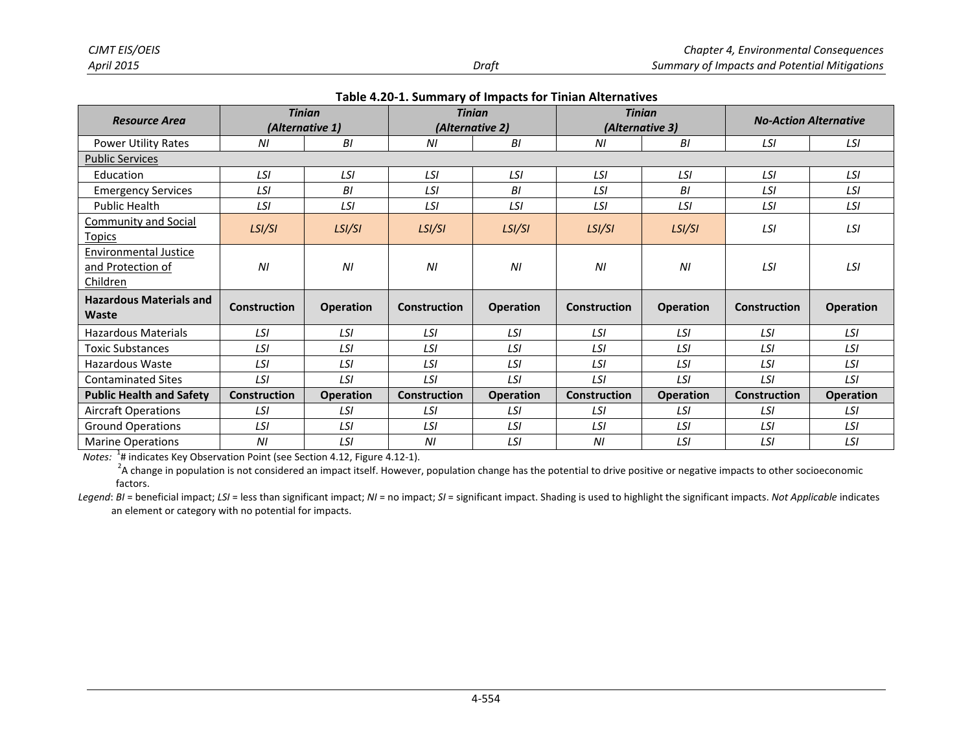| <b>Resource Area</b>                                          | <b>Tinian</b>       | (Alternative 1)  |                     | <b>Tinian</b><br>(Alternative 2) | <b>Tinian</b><br>(Alternative 3) |                  |              | <b>No-Action Alternative</b> |  |
|---------------------------------------------------------------|---------------------|------------------|---------------------|----------------------------------|----------------------------------|------------------|--------------|------------------------------|--|
| <b>Power Utility Rates</b>                                    | N <sub>l</sub>      | BI               | ΝI                  | BI                               | ΝI                               | BI               | LSI          | LSI                          |  |
| <b>Public Services</b>                                        |                     |                  |                     |                                  |                                  |                  |              |                              |  |
| Education                                                     | LSI                 | LSI              | LSI                 | LSI                              | LSI                              | LSI              | LSI          | LSI                          |  |
| <b>Emergency Services</b>                                     | LSI                 | BI               | LSI                 | BI                               | LSI                              | BI               | LSI          | LSI                          |  |
| <b>Public Health</b>                                          | LSI                 | LSI              | LSI                 | LSI                              | LSI                              | LSI              | LSI          | LSI                          |  |
| <b>Community and Social</b><br>Topics                         | LSI/SI              | LSI/SI           | LSI/SI              | LSI/SI                           | LSI/SI                           | LSI/SI           | LSI          | LSI                          |  |
| <b>Environmental Justice</b><br>and Protection of<br>Children | N <sub>l</sub>      | N <sub>l</sub>   | N <sub>l</sub>      | N <sub>l</sub>                   | N <sub>l</sub>                   | N <sub>l</sub>   | LSI          | LSI                          |  |
| <b>Hazardous Materials and</b><br>Waste                       | <b>Construction</b> | <b>Operation</b> | <b>Construction</b> | <b>Operation</b>                 | <b>Construction</b>              | <b>Operation</b> | Construction | <b>Operation</b>             |  |
| <b>Hazardous Materials</b>                                    | LSI                 | LSI              | LSI                 | LSI                              | LSI                              | LSI              | LSI          | LSI                          |  |
| Toxic Substances                                              | LSI                 | LSI              | LSI                 | LSI                              | LSI                              | LSI              | LSI          | LSI                          |  |
| Hazardous Waste                                               | LSI                 | LSI              | LSI                 | LSI                              | LSI                              | LSI              | LSI          | LSI                          |  |
| <b>Contaminated Sites</b>                                     | LSI                 | LSI              | LSI                 | LSI                              | LSI                              | LSI              | LSI          | LSI                          |  |
| <b>Public Health and Safety</b>                               | <b>Construction</b> | <b>Operation</b> | <b>Construction</b> | <b>Operation</b>                 | <b>Construction</b>              | <b>Operation</b> | Construction | <b>Operation</b>             |  |
| <b>Aircraft Operations</b>                                    | LSI                 | LSI              | LSI                 | LSI                              | LSI                              | LSI              | LSI          | LSI                          |  |
| <b>Ground Operations</b>                                      | LSI                 | LSI              | LSI                 | LSI                              | LSI                              | LSI              | LSI          | LSI                          |  |
| <b>Marine Operations</b>                                      | ΝI                  | LSI              | ΝI                  | LSI                              | ΝI                               | LSI              | LSI          | LSI                          |  |

*Notes:* <sup>1</sup> # indicates Key Observation Point (see Section 4.12, Figure 4.12-1).

 $2A$  change in population is not considered an impact itself. However, population change has the potential to drive positive or negative impacts to other socioeconomic factors.

Legend: BI = beneficial impact; LSI = less than significant impact; NI = no impact; SI = significant impact. Shading is used to highlight the significant impacts. Not Applicable indicates an element or category with no potential for impacts.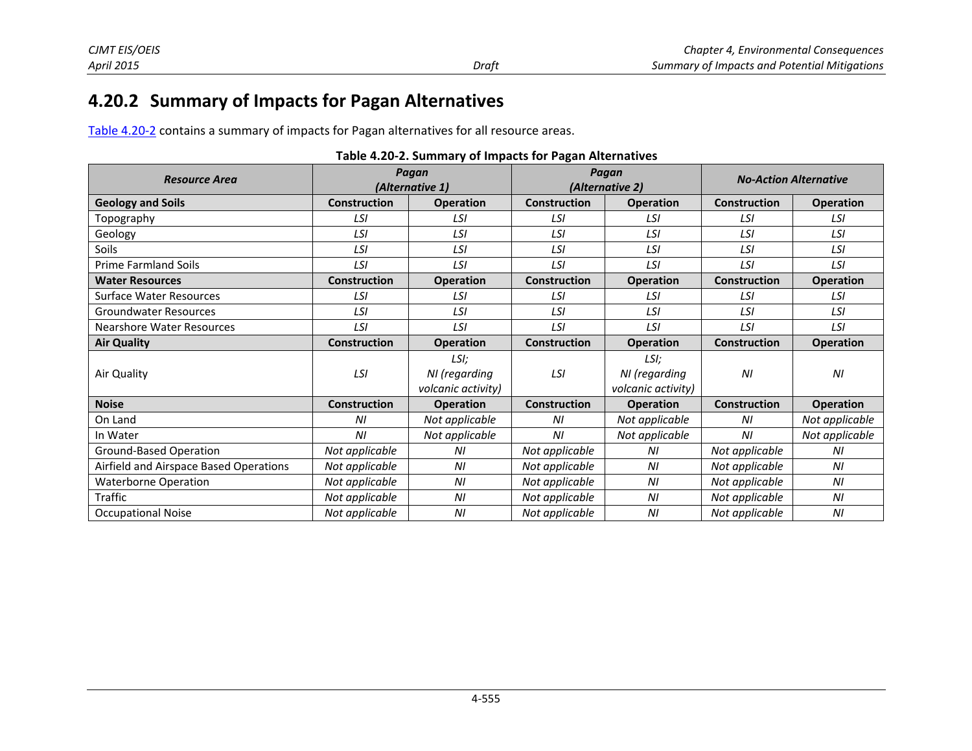# **4.20.2 Summary of Impacts for Pagan Alternatives**

[Table 4.20-2 c](#page-9-1)ontains a summary of impacts for Pagan alternatives for all resource areas.

| <b>Resource Area</b>                   | Pagan<br>Pagan<br><b>No-Action Alternative</b><br>(Alternative 1)<br>(Alternative 2) |                                             |                                         |                                             |                     |                  |  |  |  |  |
|----------------------------------------|--------------------------------------------------------------------------------------|---------------------------------------------|-----------------------------------------|---------------------------------------------|---------------------|------------------|--|--|--|--|
| <b>Geology and Soils</b>               | <b>Construction</b>                                                                  | <b>Operation</b>                            | <b>Construction</b><br><b>Operation</b> |                                             | <b>Construction</b> | <b>Operation</b> |  |  |  |  |
| Topography                             | LSI                                                                                  | LSI                                         | LSI                                     | LSI                                         | LSI                 | LSI              |  |  |  |  |
| Geology                                | LSI                                                                                  | LSI                                         | LSI                                     | LSI                                         | LSI                 | LSI              |  |  |  |  |
| Soils                                  | LSI                                                                                  | LSI                                         | LSI                                     | LSI                                         | LSI                 | LSI              |  |  |  |  |
| <b>Prime Farmland Soils</b>            | LSI                                                                                  | LSI                                         | LSI                                     | LSI                                         | LSI                 | LSI              |  |  |  |  |
| <b>Water Resources</b>                 | <b>Construction</b>                                                                  | <b>Operation</b>                            | <b>Construction</b>                     | <b>Operation</b>                            | <b>Construction</b> | <b>Operation</b> |  |  |  |  |
| <b>Surface Water Resources</b>         | LSI                                                                                  | LSI                                         | LSI                                     | LSI                                         | LSI                 | LSI              |  |  |  |  |
| <b>Groundwater Resources</b>           | LSI                                                                                  | LSI                                         | LSI                                     | LSI                                         | LSI                 | LSI              |  |  |  |  |
| <b>Nearshore Water Resources</b>       | LSI                                                                                  | LSI                                         | LSI                                     | LSI                                         | LSI                 | LSI              |  |  |  |  |
| <b>Air Quality</b>                     | <b>Construction</b>                                                                  | <b>Operation</b>                            | <b>Construction</b>                     | <b>Operation</b>                            | <b>Construction</b> | <b>Operation</b> |  |  |  |  |
| Air Quality                            | LSI                                                                                  | LSI;<br>NI (regarding<br>volcanic activity) | LSI                                     | LSI;<br>NI (regarding<br>volcanic activity) | NI                  | N <sub>l</sub>   |  |  |  |  |
| <b>Noise</b>                           | <b>Construction</b>                                                                  | <b>Operation</b>                            | <b>Construction</b>                     | <b>Operation</b>                            | <b>Construction</b> | <b>Operation</b> |  |  |  |  |
| On Land                                | ΝI                                                                                   | Not applicable                              | ΝI                                      | Not applicable                              | ΝI                  | Not applicable   |  |  |  |  |
| In Water                               | ΝI                                                                                   | Not applicable                              | ΝI                                      | Not applicable                              | ΝI                  | Not applicable   |  |  |  |  |
| Ground-Based Operation                 | Not applicable                                                                       | ΝI                                          | Not applicable                          | ΝI                                          | Not applicable      | ΝI               |  |  |  |  |
| Airfield and Airspace Based Operations | Not applicable                                                                       | N <sub>l</sub>                              | Not applicable                          | ΝI                                          | Not applicable      | ΝI               |  |  |  |  |
| <b>Waterborne Operation</b>            | Not applicable                                                                       | N <sub>l</sub>                              | Not applicable                          | N <sub>l</sub>                              | Not applicable      | N <sub>l</sub>   |  |  |  |  |
| Traffic                                | Not applicable                                                                       | N <sub>l</sub>                              | Not applicable                          | ΝI                                          | Not applicable      | ΝI               |  |  |  |  |
| <b>Occupational Noise</b>              | Not applicable                                                                       | N <sub>l</sub>                              | Not applicable                          | N <sub>l</sub>                              | Not applicable      | N <sub>l</sub>   |  |  |  |  |

<span id="page-9-1"></span><span id="page-9-0"></span>

|  |  |  | Table 4.20-2. Summary of Impacts for Pagan Alternatives |
|--|--|--|---------------------------------------------------------|
|--|--|--|---------------------------------------------------------|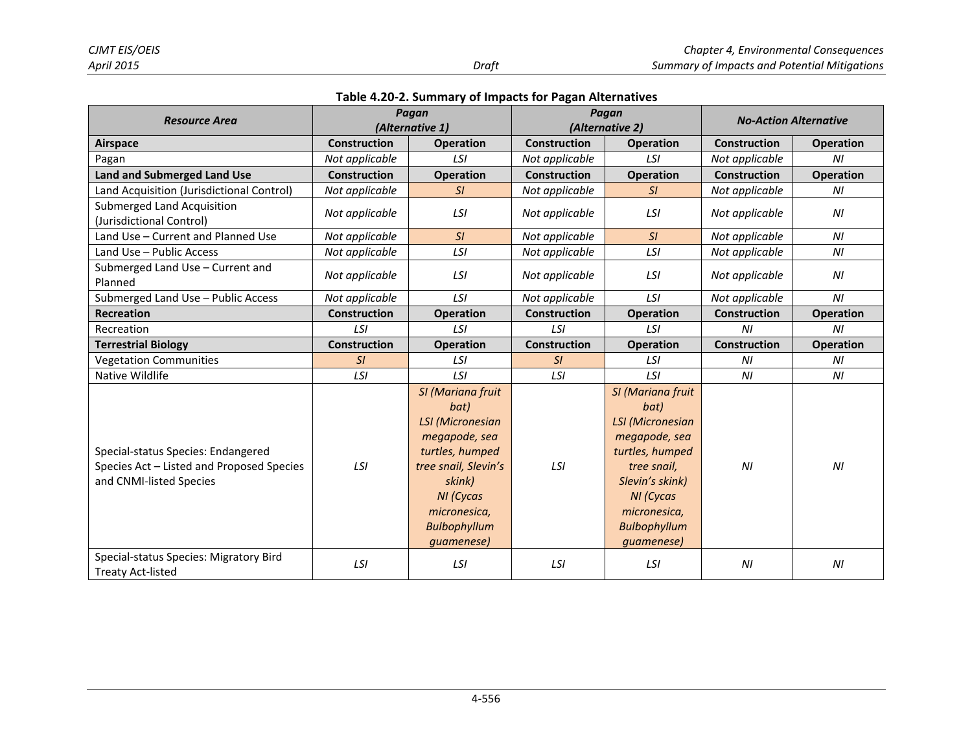|  |  |  | Table 4.20-2. Summary of Impacts for Pagan Alternatives |
|--|--|--|---------------------------------------------------------|
|--|--|--|---------------------------------------------------------|

| <b>Resource Area</b>                                                                                       | Pagan               |                                                                                                                                                                                              | Pagan               |                                                                                                                                                                                              | <b>No-Action Alternative</b> |                  |  |
|------------------------------------------------------------------------------------------------------------|---------------------|----------------------------------------------------------------------------------------------------------------------------------------------------------------------------------------------|---------------------|----------------------------------------------------------------------------------------------------------------------------------------------------------------------------------------------|------------------------------|------------------|--|
|                                                                                                            |                     | (Alternative 1)                                                                                                                                                                              | (Alternative 2)     |                                                                                                                                                                                              |                              |                  |  |
| <b>Airspace</b>                                                                                            | <b>Construction</b> | <b>Operation</b>                                                                                                                                                                             | <b>Construction</b> | <b>Operation</b>                                                                                                                                                                             | <b>Construction</b>          | <b>Operation</b> |  |
| Pagan                                                                                                      | Not applicable      | LSI                                                                                                                                                                                          | Not applicable      | LSI                                                                                                                                                                                          | Not applicable               | N <sub>l</sub>   |  |
| <b>Land and Submerged Land Use</b>                                                                         | <b>Construction</b> | <b>Operation</b>                                                                                                                                                                             | <b>Construction</b> | <b>Operation</b>                                                                                                                                                                             | <b>Construction</b>          | <b>Operation</b> |  |
| Land Acquisition (Jurisdictional Control)                                                                  | Not applicable      | SI                                                                                                                                                                                           | Not applicable      | SI                                                                                                                                                                                           | Not applicable               | ΝI               |  |
| <b>Submerged Land Acquisition</b><br>(Jurisdictional Control)                                              | Not applicable      | LSI                                                                                                                                                                                          | Not applicable      | LSI                                                                                                                                                                                          | Not applicable               | N <sub>l</sub>   |  |
| Land Use - Current and Planned Use                                                                         | Not applicable      | SI                                                                                                                                                                                           | Not applicable      | SI                                                                                                                                                                                           | Not applicable               | N <sub>l</sub>   |  |
| Land Use - Public Access                                                                                   | Not applicable      | LSI                                                                                                                                                                                          | Not applicable      | LSI                                                                                                                                                                                          | Not applicable               | N <sub>l</sub>   |  |
| Submerged Land Use - Current and<br>Planned                                                                | Not applicable      | LSI                                                                                                                                                                                          | Not applicable      | LSI                                                                                                                                                                                          | Not applicable               | N <sub>l</sub>   |  |
| Submerged Land Use - Public Access                                                                         | Not applicable      | LSI                                                                                                                                                                                          | Not applicable      | LSI                                                                                                                                                                                          | Not applicable               | N <sub>l</sub>   |  |
| <b>Recreation</b>                                                                                          | <b>Construction</b> | <b>Operation</b>                                                                                                                                                                             | <b>Construction</b> | <b>Operation</b>                                                                                                                                                                             | <b>Construction</b>          | <b>Operation</b> |  |
| Recreation                                                                                                 | LSI                 | LSI                                                                                                                                                                                          | LSI                 | LSI                                                                                                                                                                                          | ΝI                           | ΝI               |  |
| <b>Terrestrial Biology</b>                                                                                 | <b>Construction</b> | <b>Operation</b>                                                                                                                                                                             | <b>Construction</b> | <b>Operation</b>                                                                                                                                                                             | <b>Construction</b>          | <b>Operation</b> |  |
| <b>Vegetation Communities</b>                                                                              | SI                  | LSI                                                                                                                                                                                          | SI                  | LSI                                                                                                                                                                                          | N <sub>l</sub>               | N <sub>l</sub>   |  |
| Native Wildlife                                                                                            | LSI                 | LSI                                                                                                                                                                                          | LSI                 | LSI                                                                                                                                                                                          | NI                           | NI               |  |
| Special-status Species: Endangered<br>Species Act - Listed and Proposed Species<br>and CNMI-listed Species | LSI                 | SI (Mariana fruit<br>bat)<br><b>LSI</b> (Micronesian<br>megapode, sea<br>turtles, humped<br>tree snail, Slevin's<br>skink)<br>NI (Cycas<br>micronesica,<br><b>Bulbophyllum</b><br>guamenese) | LSI                 | SI (Mariana fruit<br>bat)<br><b>LSI</b> (Micronesian<br>megapode, sea<br>turtles, humped<br>tree snail,<br>Slevin's skink)<br>NI (Cycas<br>micronesica,<br><b>Bulbophyllum</b><br>guamenese) | N <sub>l</sub>               | N <sub>l</sub>   |  |
| Special-status Species: Migratory Bird<br><b>Treaty Act-listed</b>                                         | LSI                 | LSI                                                                                                                                                                                          | LSI                 | LSI                                                                                                                                                                                          | N <sub>l</sub>               | NI               |  |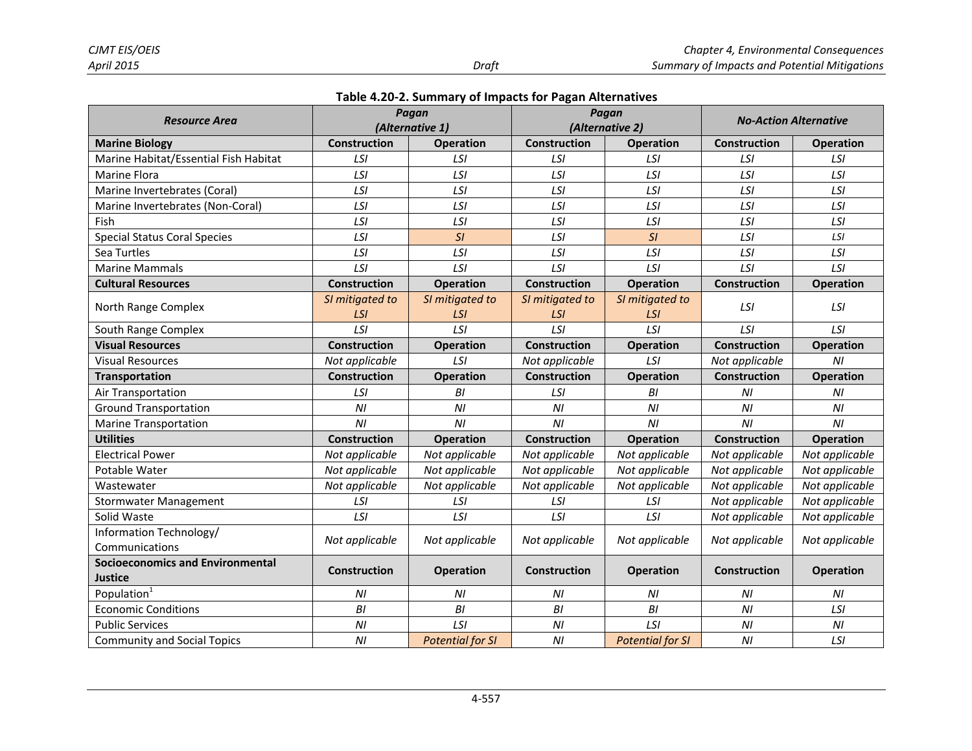|  |  |  | Table 4.20-2. Summary of Impacts for Pagan Alternatives |
|--|--|--|---------------------------------------------------------|
|--|--|--|---------------------------------------------------------|

| Resource Area                                             |                               | Pagan<br>(Alternative 1)      |                               | Pagan<br>(Alternative 2)      |                     | <b>No-Action Alternative</b> |
|-----------------------------------------------------------|-------------------------------|-------------------------------|-------------------------------|-------------------------------|---------------------|------------------------------|
| <b>Marine Biology</b>                                     | <b>Construction</b>           | <b>Operation</b>              | Construction                  | <b>Operation</b>              | Construction        | <b>Operation</b>             |
| Marine Habitat/Essential Fish Habitat                     | LSI                           | LSI                           | LSI                           | LSI                           | LSI                 | LSI                          |
| Marine Flora                                              | LSI                           | LSI                           | LSI                           | LSI                           | LSI                 | LSI                          |
| Marine Invertebrates (Coral)                              | LSI                           | LSI                           | LSI                           | LSI                           | LSI                 | LSI                          |
| Marine Invertebrates (Non-Coral)                          | LSI                           | LSI                           | LSI                           | LSI                           | LSI                 | LSI                          |
| Fish                                                      | <b>LSI</b>                    | LSI                           | LSI                           | LSI                           | LSI                 | LSI                          |
| <b>Special Status Coral Species</b>                       | LSI                           | SI                            | LSI                           | SI                            | LSI                 | LSI                          |
| Sea Turtles                                               | LSI                           | LSI                           | LSI                           | LSI                           | LSI                 | LSI                          |
| <b>Marine Mammals</b>                                     | LSI                           | LSI                           | LSI                           | LSI                           | LSI                 | LSI                          |
| <b>Cultural Resources</b>                                 | Construction                  | <b>Operation</b>              | Construction                  | <b>Operation</b>              | <b>Construction</b> | <b>Operation</b>             |
| North Range Complex                                       | SI mitigated to<br><b>LSI</b> | SI mitigated to<br><b>LSI</b> | SI mitigated to<br><b>LSI</b> | SI mitigated to<br><b>LSI</b> | LSI                 | LSI                          |
| South Range Complex                                       | LSI                           | LSI                           | LSI                           | LSI                           | LSI                 | LSI                          |
| <b>Visual Resources</b>                                   | <b>Construction</b>           | <b>Operation</b>              | Construction                  | <b>Operation</b>              | Construction        | <b>Operation</b>             |
| <b>Visual Resources</b>                                   | Not applicable                | LSI                           | Not applicable                | LSI                           | Not applicable      | N <sub>l</sub>               |
| <b>Transportation</b>                                     | <b>Construction</b>           | <b>Operation</b>              | Construction                  | <b>Operation</b>              | <b>Construction</b> | <b>Operation</b>             |
| Air Transportation                                        | LSI                           | B <sub>l</sub>                | LSI                           | B <sub>l</sub>                | NI                  | N <sub>l</sub>               |
| <b>Ground Transportation</b>                              | N <sub>l</sub>                | N <sub>l</sub>                | N <sub>l</sub>                | ΝI                            | N <sub>l</sub>      | N <sub>l</sub>               |
| <b>Marine Transportation</b>                              | N <sub>l</sub>                | NI                            | NI                            | N <sub>l</sub>                | NI                  | N <sub>l</sub>               |
| <b>Utilities</b>                                          | <b>Construction</b>           | <b>Operation</b>              | Construction                  | <b>Operation</b>              | <b>Construction</b> | <b>Operation</b>             |
| <b>Electrical Power</b>                                   | Not applicable                | Not applicable                | Not applicable                | Not applicable                | Not applicable      | Not applicable               |
| Potable Water                                             | Not applicable                | Not applicable                | Not applicable                | Not applicable                | Not applicable      | Not applicable               |
| Wastewater                                                | Not applicable                | Not applicable                | Not applicable                | Not applicable                | Not applicable      | Not applicable               |
| <b>Stormwater Management</b>                              | LSI                           | LSI                           | LSI                           | LSI                           | Not applicable      | Not applicable               |
| Solid Waste                                               | LSI                           | LSI                           | LSI                           | LSI                           | Not applicable      | Not applicable               |
| Information Technology/                                   | Not applicable                | Not applicable                | Not applicable                | Not applicable                | Not applicable      | Not applicable               |
| Communications                                            |                               |                               |                               |                               |                     |                              |
| <b>Socioeconomics and Environmental</b><br><b>Justice</b> | <b>Construction</b>           | <b>Operation</b>              | <b>Construction</b>           | <b>Operation</b>              | <b>Construction</b> | <b>Operation</b>             |
| Population <sup>1</sup>                                   | NI                            | N <sub>l</sub>                | ΝI                            | ΝI                            | N <sub>l</sub>      | ΝI                           |
| <b>Economic Conditions</b>                                | BI                            | B1                            | BI                            | B1                            | N <sub>l</sub>      | LSI                          |
| <b>Public Services</b>                                    | N <sub>l</sub>                | LSI                           | N <sub>l</sub>                | LSI                           | N <sub>l</sub>      | N <sub>l</sub>               |
| <b>Community and Social Topics</b>                        | N <sub>l</sub>                | <b>Potential for SI</b>       | N <sub>l</sub>                | <b>Potential for SI</b>       | N <sub>l</sub>      | LSI                          |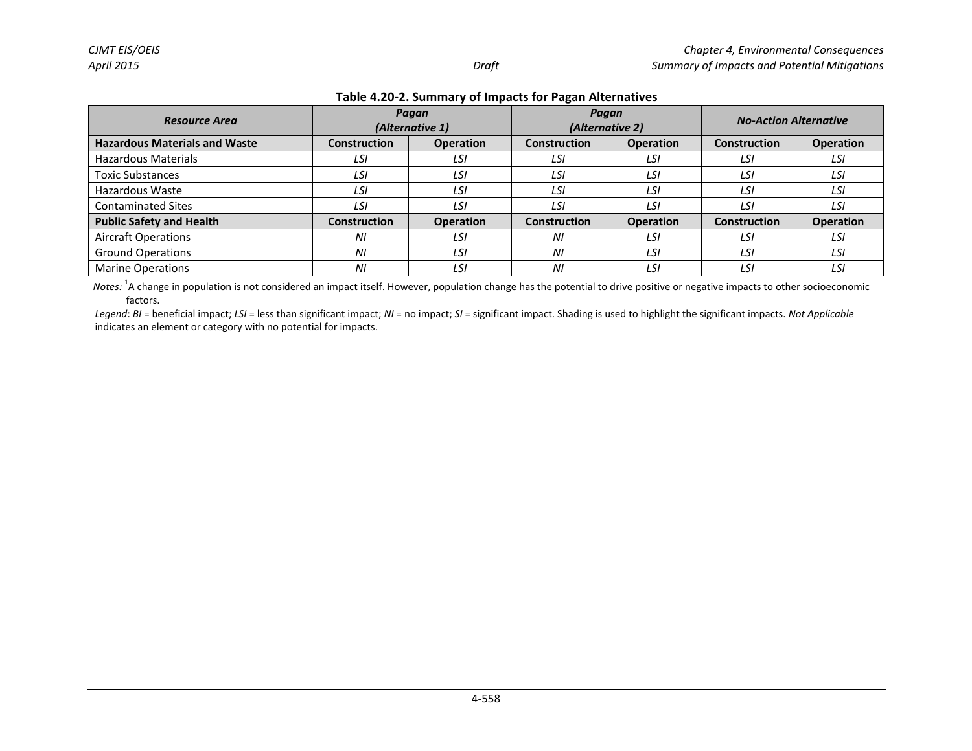| <b>Resource Area</b>                 | Pagan<br>(Alternative 1) |                  | Pagan        | (Alternative 2)  | <b>No-Action Alternative</b> |                  |  |
|--------------------------------------|--------------------------|------------------|--------------|------------------|------------------------------|------------------|--|
| <b>Hazardous Materials and Waste</b> | <b>Construction</b>      | <b>Operation</b> | Construction | <b>Operation</b> | Construction                 | <b>Operation</b> |  |
| <b>Hazardous Materials</b>           | LSI                      | LSI              | LSI          | LSI              | LSI                          | LSI              |  |
| <b>Toxic Substances</b>              | LSI                      | LSI              | LSI          | LSI              | LSI                          | LSI              |  |
| Hazardous Waste                      | LSI                      | LSI              | LSI          | LSI              | LSI                          | LSI              |  |
| <b>Contaminated Sites</b>            | LSI                      | LSI              | LSI          | LSI              | LSI                          | LSI              |  |
| <b>Public Safety and Health</b>      | <b>Construction</b>      | <b>Operation</b> | Construction | <b>Operation</b> | <b>Construction</b>          | <b>Operation</b> |  |
| <b>Aircraft Operations</b>           | ΝI                       | LSI              | ΝI           | LSI              | LSI                          | LSI              |  |
| <b>Ground Operations</b>             | ΝI                       | LSI              | ΝI           | LSI              | LSI                          | LSI              |  |
| <b>Marine Operations</b>             | ΝI                       | LSI              | ΝI           | LSI              | LSI                          | LSI              |  |

Notes: <sup>1</sup>A change in population is not considered an impact itself. However, population change has the potential to drive positive or negative impacts to other socioeconomic factors.

*Legend*: *BI* = beneficial impact; *LSI* = less than significant impact; *NI* = no impact; *SI* = significant impact. Shading is used to highlight the significant impacts. *Not Applicable* indicates an element or category with no potential for impacts.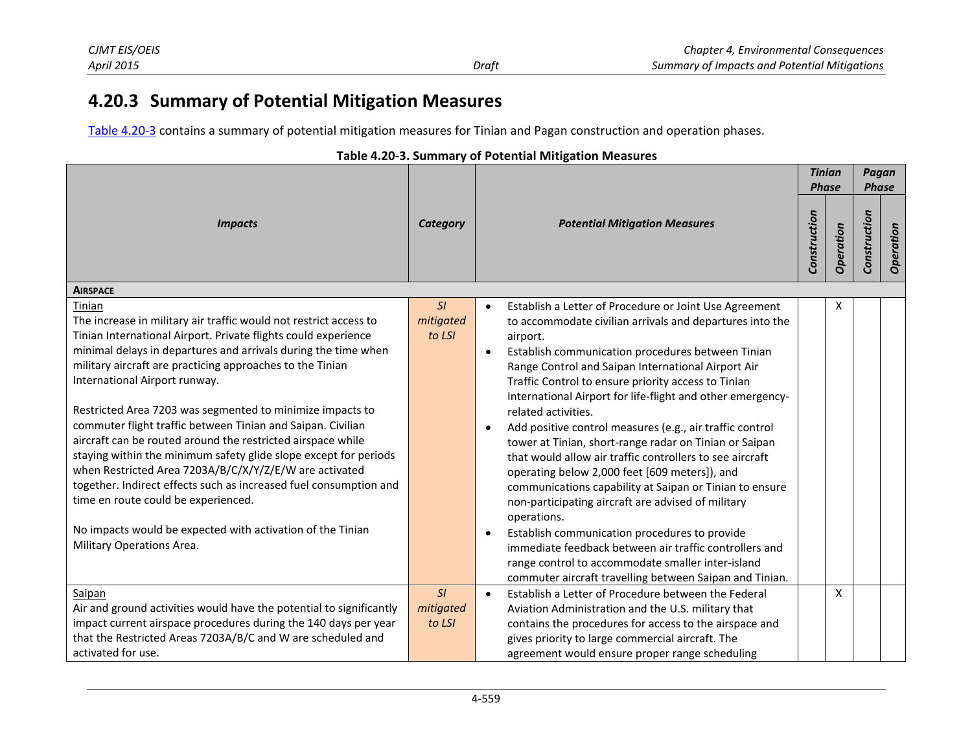# **4.20.3 Summary of Potential Mitigation Measures**

<span id="page-13-1"></span>[Table 4.20-3 c](#page-13-1)ontains a summary of potential mitigation measures for Tinian and Pagan construction and operation phases.

<span id="page-13-0"></span>

|                                                                                                                                                                                                                                                                                                                                                                                                                                                                                                                                                                                                                                                                                                                                                                                                                                               |                           |                                                                                                                                                                                                                                                                                                                                                                                                                                                                                                                                                                                                                                                                                                                                                                                                                                                                                                                                                                                                               | <b>Tinian</b><br><b>Phase</b> |           | Pagan<br><b>Phase</b> |           |
|-----------------------------------------------------------------------------------------------------------------------------------------------------------------------------------------------------------------------------------------------------------------------------------------------------------------------------------------------------------------------------------------------------------------------------------------------------------------------------------------------------------------------------------------------------------------------------------------------------------------------------------------------------------------------------------------------------------------------------------------------------------------------------------------------------------------------------------------------|---------------------------|---------------------------------------------------------------------------------------------------------------------------------------------------------------------------------------------------------------------------------------------------------------------------------------------------------------------------------------------------------------------------------------------------------------------------------------------------------------------------------------------------------------------------------------------------------------------------------------------------------------------------------------------------------------------------------------------------------------------------------------------------------------------------------------------------------------------------------------------------------------------------------------------------------------------------------------------------------------------------------------------------------------|-------------------------------|-----------|-----------------------|-----------|
| <b>Impacts</b>                                                                                                                                                                                                                                                                                                                                                                                                                                                                                                                                                                                                                                                                                                                                                                                                                                | Category                  | <b>Potential Mitigation Measures</b>                                                                                                                                                                                                                                                                                                                                                                                                                                                                                                                                                                                                                                                                                                                                                                                                                                                                                                                                                                          | Construction                  | Operation | Construction          | Operation |
| <b>AIRSPACE</b>                                                                                                                                                                                                                                                                                                                                                                                                                                                                                                                                                                                                                                                                                                                                                                                                                               |                           |                                                                                                                                                                                                                                                                                                                                                                                                                                                                                                                                                                                                                                                                                                                                                                                                                                                                                                                                                                                                               |                               |           |                       |           |
| Tinian<br>The increase in military air traffic would not restrict access to<br>Tinian International Airport. Private flights could experience<br>minimal delays in departures and arrivals during the time when<br>military aircraft are practicing approaches to the Tinian<br>International Airport runway.<br>Restricted Area 7203 was segmented to minimize impacts to<br>commuter flight traffic between Tinian and Saipan. Civilian<br>aircraft can be routed around the restricted airspace while<br>staying within the minimum safety glide slope except for periods<br>when Restricted Area 7203A/B/C/X/Y/Z/E/W are activated<br>together. Indirect effects such as increased fuel consumption and<br>time en route could be experienced.<br>No impacts would be expected with activation of the Tinian<br>Military Operations Area. | SI<br>mitigated<br>to LSI | Establish a Letter of Procedure or Joint Use Agreement<br>to accommodate civilian arrivals and departures into the<br>airport.<br>Establish communication procedures between Tinian<br>$\bullet$<br>Range Control and Saipan International Airport Air<br>Traffic Control to ensure priority access to Tinian<br>International Airport for life-flight and other emergency-<br>related activities.<br>Add positive control measures (e.g., air traffic control<br>tower at Tinian, short-range radar on Tinian or Saipan<br>that would allow air traffic controllers to see aircraft<br>operating below 2,000 feet [609 meters]), and<br>communications capability at Saipan or Tinian to ensure<br>non-participating aircraft are advised of military<br>operations.<br>Establish communication procedures to provide<br>$\bullet$<br>immediate feedback between air traffic controllers and<br>range control to accommodate smaller inter-island<br>commuter aircraft travelling between Saipan and Tinian. |                               | X         |                       |           |
| Saipan                                                                                                                                                                                                                                                                                                                                                                                                                                                                                                                                                                                                                                                                                                                                                                                                                                        | SI                        | Establish a Letter of Procedure between the Federal<br>$\bullet$                                                                                                                                                                                                                                                                                                                                                                                                                                                                                                                                                                                                                                                                                                                                                                                                                                                                                                                                              |                               | X         |                       |           |
| Air and ground activities would have the potential to significantly                                                                                                                                                                                                                                                                                                                                                                                                                                                                                                                                                                                                                                                                                                                                                                           | mitigated                 | Aviation Administration and the U.S. military that                                                                                                                                                                                                                                                                                                                                                                                                                                                                                                                                                                                                                                                                                                                                                                                                                                                                                                                                                            |                               |           |                       |           |
| impact current airspace procedures during the 140 days per year<br>that the Restricted Areas 7203A/B/C and W are scheduled and                                                                                                                                                                                                                                                                                                                                                                                                                                                                                                                                                                                                                                                                                                                | to LSI                    | contains the procedures for access to the airspace and<br>gives priority to large commercial aircraft. The                                                                                                                                                                                                                                                                                                                                                                                                                                                                                                                                                                                                                                                                                                                                                                                                                                                                                                    |                               |           |                       |           |
| activated for use.                                                                                                                                                                                                                                                                                                                                                                                                                                                                                                                                                                                                                                                                                                                                                                                                                            |                           | agreement would ensure proper range scheduling                                                                                                                                                                                                                                                                                                                                                                                                                                                                                                                                                                                                                                                                                                                                                                                                                                                                                                                                                                |                               |           |                       |           |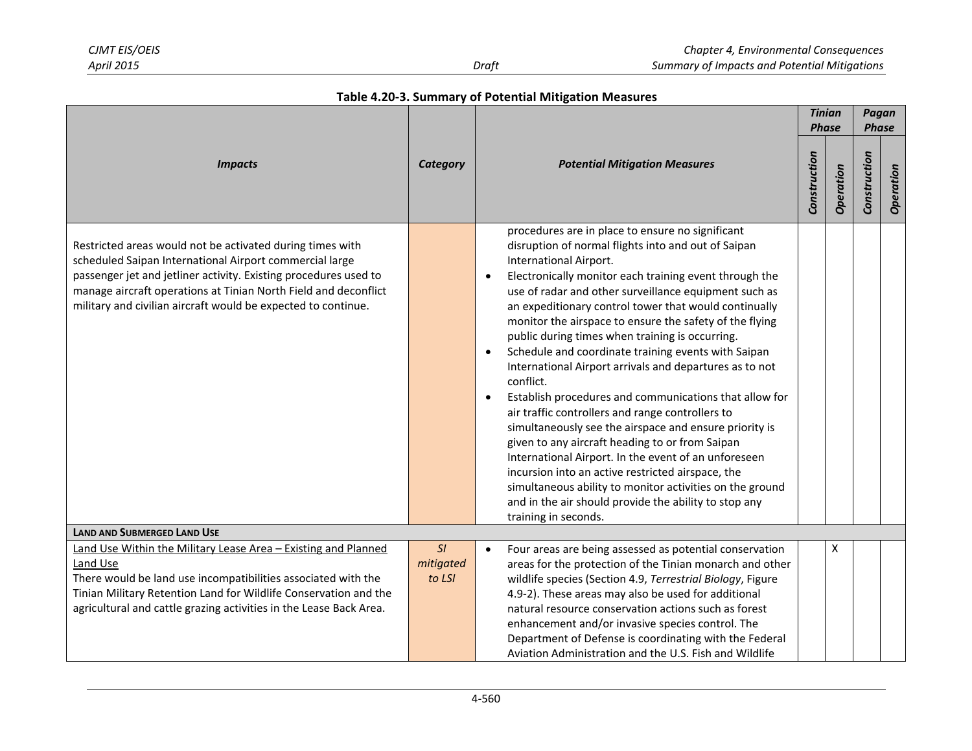|  |  | Table 4.20-3. Summary of Potential Mitigation Measures |  |  |
|--|--|--------------------------------------------------------|--|--|
|--|--|--------------------------------------------------------|--|--|

|                                                                                                                                                                                                                                                                                                                              |                           |                                                                                                                                                                                                                                                                                                                                                                                                                                                                                                                                                                                                                                                                                                                                                                                                                                                                                                                                                                                                                                                                                        | <b>Tinian</b><br><b>Phase</b> |           | Pagan<br><b>Phase</b> |           |
|------------------------------------------------------------------------------------------------------------------------------------------------------------------------------------------------------------------------------------------------------------------------------------------------------------------------------|---------------------------|----------------------------------------------------------------------------------------------------------------------------------------------------------------------------------------------------------------------------------------------------------------------------------------------------------------------------------------------------------------------------------------------------------------------------------------------------------------------------------------------------------------------------------------------------------------------------------------------------------------------------------------------------------------------------------------------------------------------------------------------------------------------------------------------------------------------------------------------------------------------------------------------------------------------------------------------------------------------------------------------------------------------------------------------------------------------------------------|-------------------------------|-----------|-----------------------|-----------|
|                                                                                                                                                                                                                                                                                                                              |                           |                                                                                                                                                                                                                                                                                                                                                                                                                                                                                                                                                                                                                                                                                                                                                                                                                                                                                                                                                                                                                                                                                        |                               |           |                       |           |
| <b>Impacts</b>                                                                                                                                                                                                                                                                                                               | Category                  | <b>Potential Mitigation Measures</b>                                                                                                                                                                                                                                                                                                                                                                                                                                                                                                                                                                                                                                                                                                                                                                                                                                                                                                                                                                                                                                                   | Construction                  | Operation | Construction          | Operation |
| Restricted areas would not be activated during times with<br>scheduled Saipan International Airport commercial large<br>passenger jet and jetliner activity. Existing procedures used to<br>manage aircraft operations at Tinian North Field and deconflict<br>military and civilian aircraft would be expected to continue. |                           | procedures are in place to ensure no significant<br>disruption of normal flights into and out of Saipan<br>International Airport.<br>Electronically monitor each training event through the<br>$\bullet$<br>use of radar and other surveillance equipment such as<br>an expeditionary control tower that would continually<br>monitor the airspace to ensure the safety of the flying<br>public during times when training is occurring.<br>Schedule and coordinate training events with Saipan<br>$\bullet$<br>International Airport arrivals and departures as to not<br>conflict.<br>Establish procedures and communications that allow for<br>$\bullet$<br>air traffic controllers and range controllers to<br>simultaneously see the airspace and ensure priority is<br>given to any aircraft heading to or from Saipan<br>International Airport. In the event of an unforeseen<br>incursion into an active restricted airspace, the<br>simultaneous ability to monitor activities on the ground<br>and in the air should provide the ability to stop any<br>training in seconds. |                               |           |                       |           |
| <b>LAND AND SUBMERGED LAND USE</b>                                                                                                                                                                                                                                                                                           |                           |                                                                                                                                                                                                                                                                                                                                                                                                                                                                                                                                                                                                                                                                                                                                                                                                                                                                                                                                                                                                                                                                                        |                               |           |                       |           |
| Land Use Within the Military Lease Area - Existing and Planned<br>Land Use<br>There would be land use incompatibilities associated with the<br>Tinian Military Retention Land for Wildlife Conservation and the<br>agricultural and cattle grazing activities in the Lease Back Area.                                        | SI<br>mitigated<br>to LSI | Four areas are being assessed as potential conservation<br>$\bullet$<br>areas for the protection of the Tinian monarch and other<br>wildlife species (Section 4.9, Terrestrial Biology, Figure<br>4.9-2). These areas may also be used for additional<br>natural resource conservation actions such as forest<br>enhancement and/or invasive species control. The<br>Department of Defense is coordinating with the Federal<br>Aviation Administration and the U.S. Fish and Wildlife                                                                                                                                                                                                                                                                                                                                                                                                                                                                                                                                                                                                  |                               | x         |                       |           |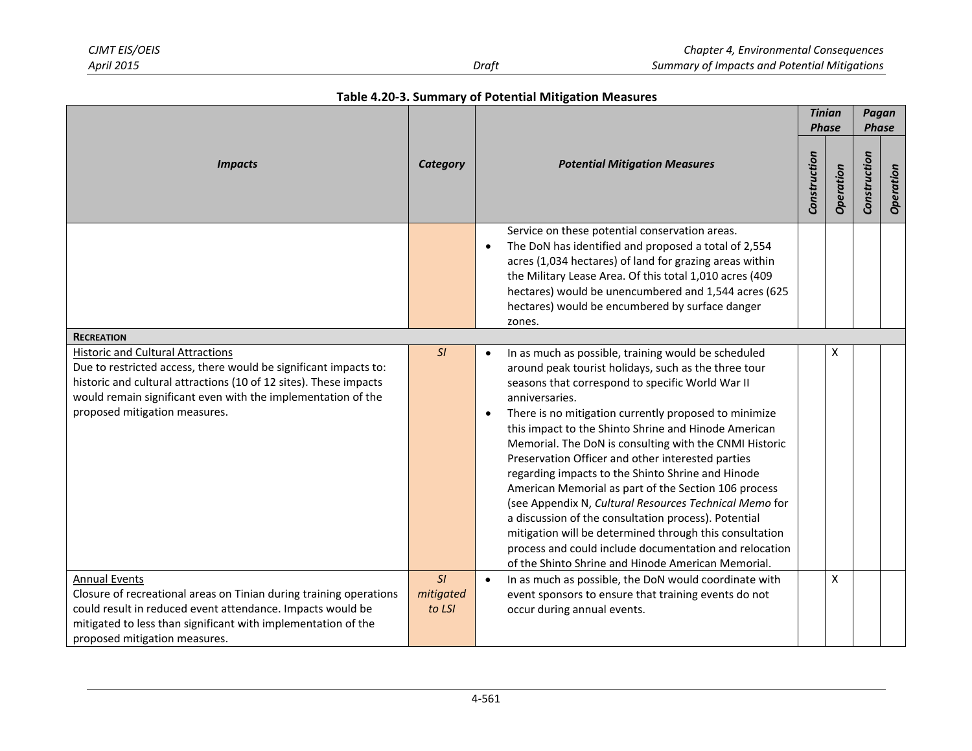|  |  | Table 4.20-3. Summary of Potential Mitigation Measures |  |  |
|--|--|--------------------------------------------------------|--|--|
|--|--|--------------------------------------------------------|--|--|

|                                                                                                                                                                                                                                                                                    |                           |                                                                                                                                                                                                                                                                                                                                                                                                                                                                                                                                                                                                                                                                                                                                                                                                                                                       |              |                           | Pagan<br><b>Phase</b> |           |
|------------------------------------------------------------------------------------------------------------------------------------------------------------------------------------------------------------------------------------------------------------------------------------|---------------------------|-------------------------------------------------------------------------------------------------------------------------------------------------------------------------------------------------------------------------------------------------------------------------------------------------------------------------------------------------------------------------------------------------------------------------------------------------------------------------------------------------------------------------------------------------------------------------------------------------------------------------------------------------------------------------------------------------------------------------------------------------------------------------------------------------------------------------------------------------------|--------------|---------------------------|-----------------------|-----------|
| <b>Impacts</b>                                                                                                                                                                                                                                                                     | <b>Category</b>           | <b>Potential Mitigation Measures</b>                                                                                                                                                                                                                                                                                                                                                                                                                                                                                                                                                                                                                                                                                                                                                                                                                  | Construction | <b>Phase</b><br>Operation | Construction          | Operation |
| <b>RECREATION</b>                                                                                                                                                                                                                                                                  |                           | Service on these potential conservation areas.<br>The DoN has identified and proposed a total of 2,554<br>$\bullet$<br>acres (1,034 hectares) of land for grazing areas within<br>the Military Lease Area. Of this total 1,010 acres (409<br>hectares) would be unencumbered and 1,544 acres (625<br>hectares) would be encumbered by surface danger<br>zones.                                                                                                                                                                                                                                                                                                                                                                                                                                                                                        |              |                           |                       |           |
| <b>Historic and Cultural Attractions</b><br>Due to restricted access, there would be significant impacts to:<br>historic and cultural attractions (10 of 12 sites). These impacts<br>would remain significant even with the implementation of the<br>proposed mitigation measures. | SI                        | In as much as possible, training would be scheduled<br>$\bullet$<br>around peak tourist holidays, such as the three tour<br>seasons that correspond to specific World War II<br>anniversaries.<br>There is no mitigation currently proposed to minimize<br>$\bullet$<br>this impact to the Shinto Shrine and Hinode American<br>Memorial. The DoN is consulting with the CNMI Historic<br>Preservation Officer and other interested parties<br>regarding impacts to the Shinto Shrine and Hinode<br>American Memorial as part of the Section 106 process<br>(see Appendix N, Cultural Resources Technical Memo for<br>a discussion of the consultation process). Potential<br>mitigation will be determined through this consultation<br>process and could include documentation and relocation<br>of the Shinto Shrine and Hinode American Memorial. |              | x                         |                       |           |
| <b>Annual Events</b><br>Closure of recreational areas on Tinian during training operations<br>could result in reduced event attendance. Impacts would be<br>mitigated to less than significant with implementation of the<br>proposed mitigation measures.                         | SI<br>mitigated<br>to LSI | In as much as possible, the DoN would coordinate with<br>$\bullet$<br>event sponsors to ensure that training events do not<br>occur during annual events.                                                                                                                                                                                                                                                                                                                                                                                                                                                                                                                                                                                                                                                                                             |              | X                         |                       |           |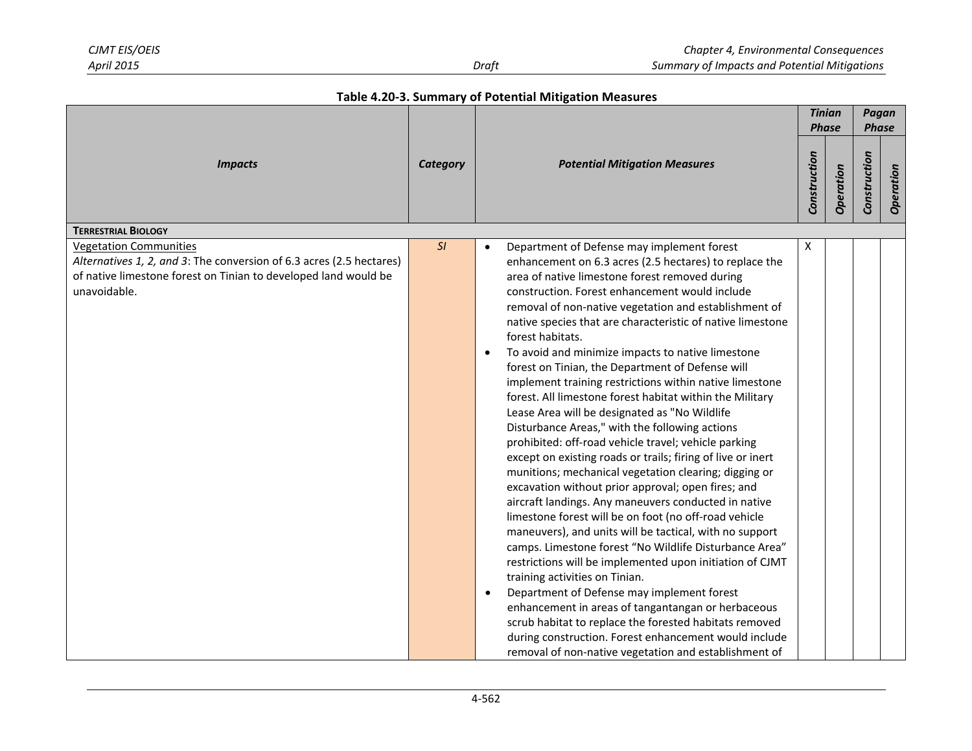|  | Table 4.20-3. Summary of Potential Mitigation Measures |  |  |  |
|--|--------------------------------------------------------|--|--|--|
|--|--------------------------------------------------------|--|--|--|

|                                                                                                                                                                                          |                 | <b>Potential Mitigation Measures</b>                                                                                                                                                                                                                                                                                                                                                                                                                                                                                                                                                                                                                                                                                                                                                                                                                                                                                                                                                                                                                                                                                                                                                                                                                                                                                                                                                                                                                                                                                                                                       |   | <b>Tinian</b><br><b>Phase</b> | Pagan<br><b>Phase</b> |           |
|------------------------------------------------------------------------------------------------------------------------------------------------------------------------------------------|-----------------|----------------------------------------------------------------------------------------------------------------------------------------------------------------------------------------------------------------------------------------------------------------------------------------------------------------------------------------------------------------------------------------------------------------------------------------------------------------------------------------------------------------------------------------------------------------------------------------------------------------------------------------------------------------------------------------------------------------------------------------------------------------------------------------------------------------------------------------------------------------------------------------------------------------------------------------------------------------------------------------------------------------------------------------------------------------------------------------------------------------------------------------------------------------------------------------------------------------------------------------------------------------------------------------------------------------------------------------------------------------------------------------------------------------------------------------------------------------------------------------------------------------------------------------------------------------------------|---|-------------------------------|-----------------------|-----------|
| <b>Impacts</b>                                                                                                                                                                           | <b>Category</b> |                                                                                                                                                                                                                                                                                                                                                                                                                                                                                                                                                                                                                                                                                                                                                                                                                                                                                                                                                                                                                                                                                                                                                                                                                                                                                                                                                                                                                                                                                                                                                                            |   | Operation                     | Construction          | Operation |
| <b>TERRESTRIAL BIOLOGY</b>                                                                                                                                                               |                 |                                                                                                                                                                                                                                                                                                                                                                                                                                                                                                                                                                                                                                                                                                                                                                                                                                                                                                                                                                                                                                                                                                                                                                                                                                                                                                                                                                                                                                                                                                                                                                            |   |                               |                       |           |
| <b>Vegetation Communities</b><br>Alternatives 1, 2, and 3: The conversion of 6.3 acres (2.5 hectares)<br>of native limestone forest on Tinian to developed land would be<br>unavoidable. | SI              | Department of Defense may implement forest<br>enhancement on 6.3 acres (2.5 hectares) to replace the<br>area of native limestone forest removed during<br>construction. Forest enhancement would include<br>removal of non-native vegetation and establishment of<br>native species that are characteristic of native limestone<br>forest habitats.<br>To avoid and minimize impacts to native limestone<br>$\bullet$<br>forest on Tinian, the Department of Defense will<br>implement training restrictions within native limestone<br>forest. All limestone forest habitat within the Military<br>Lease Area will be designated as "No Wildlife<br>Disturbance Areas," with the following actions<br>prohibited: off-road vehicle travel; vehicle parking<br>except on existing roads or trails; firing of live or inert<br>munitions; mechanical vegetation clearing; digging or<br>excavation without prior approval; open fires; and<br>aircraft landings. Any maneuvers conducted in native<br>limestone forest will be on foot (no off-road vehicle<br>maneuvers), and units will be tactical, with no support<br>camps. Limestone forest "No Wildlife Disturbance Area"<br>restrictions will be implemented upon initiation of CJMT<br>training activities on Tinian.<br>Department of Defense may implement forest<br>$\bullet$<br>enhancement in areas of tangantangan or herbaceous<br>scrub habitat to replace the forested habitats removed<br>during construction. Forest enhancement would include<br>removal of non-native vegetation and establishment of | Χ |                               |                       |           |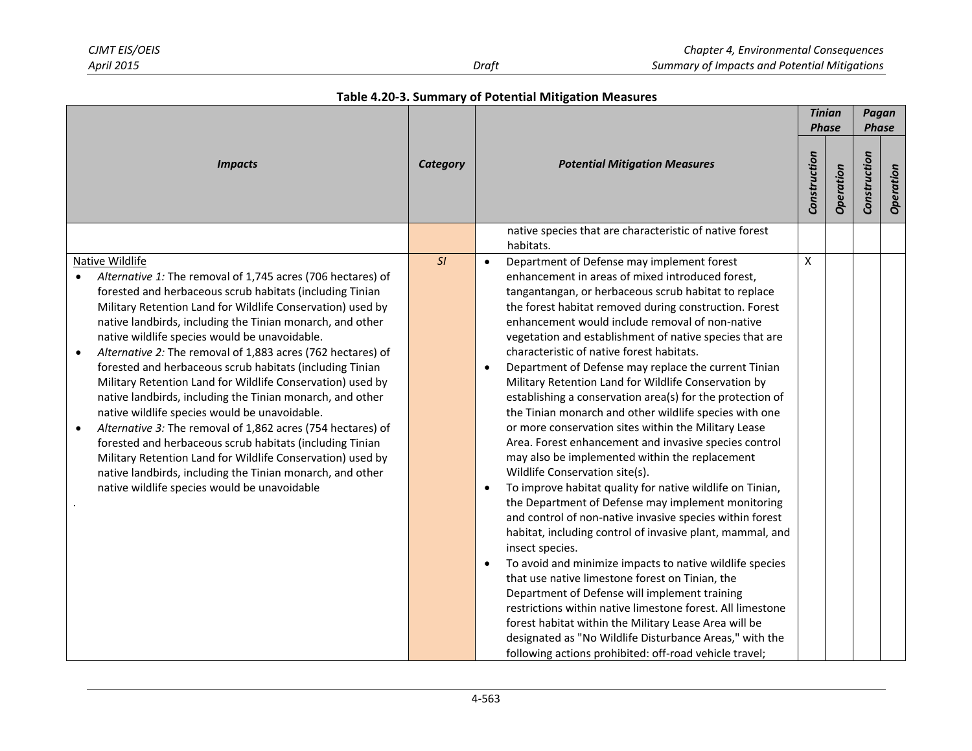|                                                                                                                                                                                                                                                                                                                                                                                                                                                                                                                                                                                                                                                                                                                                                                                                                                                                                                                                                               |    |                                                                                                                                                                                                                                                                                                                                                                                                                                                                                                                                                                                                                                                                                                                                                                                                                                                                                                                                                                                                                                                                                                                                                                                                                                                                                                                                                                                                                                                                                                                                           | <b>Tinian</b><br><b>Phase</b> |           | Pagan<br><b>Phase</b> |           |
|---------------------------------------------------------------------------------------------------------------------------------------------------------------------------------------------------------------------------------------------------------------------------------------------------------------------------------------------------------------------------------------------------------------------------------------------------------------------------------------------------------------------------------------------------------------------------------------------------------------------------------------------------------------------------------------------------------------------------------------------------------------------------------------------------------------------------------------------------------------------------------------------------------------------------------------------------------------|----|-------------------------------------------------------------------------------------------------------------------------------------------------------------------------------------------------------------------------------------------------------------------------------------------------------------------------------------------------------------------------------------------------------------------------------------------------------------------------------------------------------------------------------------------------------------------------------------------------------------------------------------------------------------------------------------------------------------------------------------------------------------------------------------------------------------------------------------------------------------------------------------------------------------------------------------------------------------------------------------------------------------------------------------------------------------------------------------------------------------------------------------------------------------------------------------------------------------------------------------------------------------------------------------------------------------------------------------------------------------------------------------------------------------------------------------------------------------------------------------------------------------------------------------------|-------------------------------|-----------|-----------------------|-----------|
| <b>Impacts</b>                                                                                                                                                                                                                                                                                                                                                                                                                                                                                                                                                                                                                                                                                                                                                                                                                                                                                                                                                |    | <b>Potential Mitigation Measures</b>                                                                                                                                                                                                                                                                                                                                                                                                                                                                                                                                                                                                                                                                                                                                                                                                                                                                                                                                                                                                                                                                                                                                                                                                                                                                                                                                                                                                                                                                                                      | Construction                  | Operation | Construction          | Operation |
|                                                                                                                                                                                                                                                                                                                                                                                                                                                                                                                                                                                                                                                                                                                                                                                                                                                                                                                                                               |    | native species that are characteristic of native forest<br>habitats.                                                                                                                                                                                                                                                                                                                                                                                                                                                                                                                                                                                                                                                                                                                                                                                                                                                                                                                                                                                                                                                                                                                                                                                                                                                                                                                                                                                                                                                                      |                               |           |                       |           |
| Native Wildlife<br>Alternative 1: The removal of 1,745 acres (706 hectares) of<br>forested and herbaceous scrub habitats (including Tinian<br>Military Retention Land for Wildlife Conservation) used by<br>native landbirds, including the Tinian monarch, and other<br>native wildlife species would be unavoidable.<br>Alternative 2: The removal of 1,883 acres (762 hectares) of<br>$\bullet$<br>forested and herbaceous scrub habitats (including Tinian<br>Military Retention Land for Wildlife Conservation) used by<br>native landbirds, including the Tinian monarch, and other<br>native wildlife species would be unavoidable.<br>Alternative 3: The removal of 1,862 acres (754 hectares) of<br>$\bullet$<br>forested and herbaceous scrub habitats (including Tinian<br>Military Retention Land for Wildlife Conservation) used by<br>native landbirds, including the Tinian monarch, and other<br>native wildlife species would be unavoidable | SI | Department of Defense may implement forest<br>enhancement in areas of mixed introduced forest,<br>tangantangan, or herbaceous scrub habitat to replace<br>the forest habitat removed during construction. Forest<br>enhancement would include removal of non-native<br>vegetation and establishment of native species that are<br>characteristic of native forest habitats.<br>Department of Defense may replace the current Tinian<br>$\bullet$<br>Military Retention Land for Wildlife Conservation by<br>establishing a conservation area(s) for the protection of<br>the Tinian monarch and other wildlife species with one<br>or more conservation sites within the Military Lease<br>Area. Forest enhancement and invasive species control<br>may also be implemented within the replacement<br>Wildlife Conservation site(s).<br>To improve habitat quality for native wildlife on Tinian,<br>$\bullet$<br>the Department of Defense may implement monitoring<br>and control of non-native invasive species within forest<br>habitat, including control of invasive plant, mammal, and<br>insect species.<br>To avoid and minimize impacts to native wildlife species<br>$\bullet$<br>that use native limestone forest on Tinian, the<br>Department of Defense will implement training<br>restrictions within native limestone forest. All limestone<br>forest habitat within the Military Lease Area will be<br>designated as "No Wildlife Disturbance Areas," with the<br>following actions prohibited: off-road vehicle travel; | X                             |           |                       |           |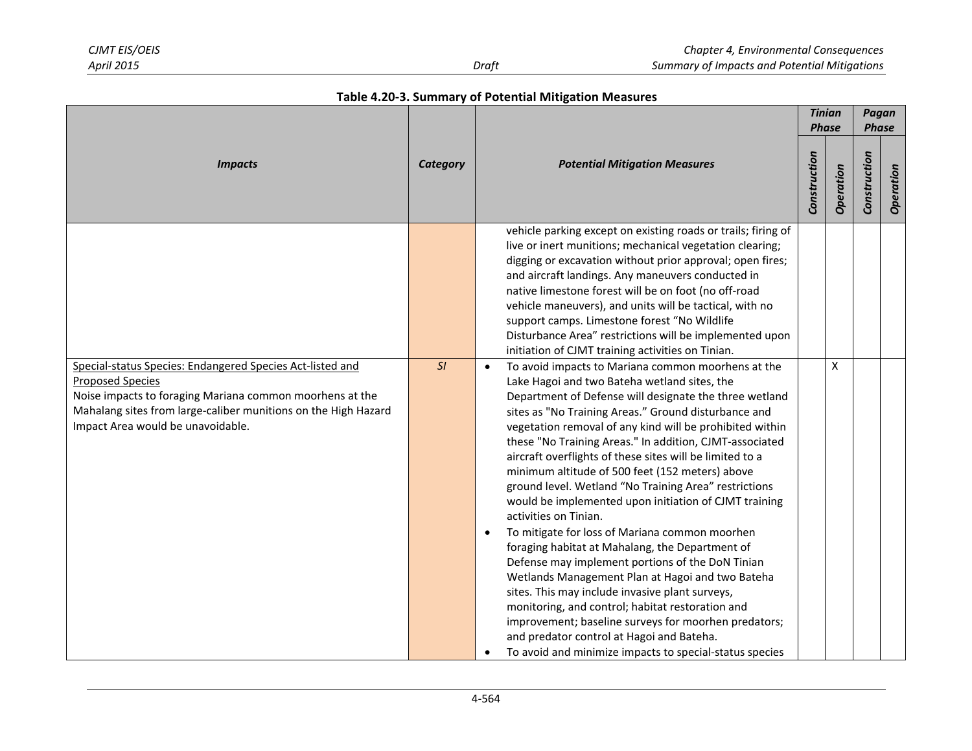| Table 4.20-3. Summary of Potential Mitigation Measures |  |  |  |  |
|--------------------------------------------------------|--|--|--|--|
|--------------------------------------------------------|--|--|--|--|

|                                                                                                                                                                                                                                                         | Category |                                                                                                                                                                                                                                                                                                                                                                                                                                                                                                                                                                                                                                                                                                                                                                                                                                                                                                                                                                                                                                                                                           |              | <b>Tinian</b>      | Pagan        |           |
|---------------------------------------------------------------------------------------------------------------------------------------------------------------------------------------------------------------------------------------------------------|----------|-------------------------------------------------------------------------------------------------------------------------------------------------------------------------------------------------------------------------------------------------------------------------------------------------------------------------------------------------------------------------------------------------------------------------------------------------------------------------------------------------------------------------------------------------------------------------------------------------------------------------------------------------------------------------------------------------------------------------------------------------------------------------------------------------------------------------------------------------------------------------------------------------------------------------------------------------------------------------------------------------------------------------------------------------------------------------------------------|--------------|--------------------|--------------|-----------|
|                                                                                                                                                                                                                                                         |          |                                                                                                                                                                                                                                                                                                                                                                                                                                                                                                                                                                                                                                                                                                                                                                                                                                                                                                                                                                                                                                                                                           |              | <b>Phase</b>       | <b>Phase</b> |           |
| <i><b>Impacts</b></i>                                                                                                                                                                                                                                   |          | <b>Potential Mitigation Measures</b>                                                                                                                                                                                                                                                                                                                                                                                                                                                                                                                                                                                                                                                                                                                                                                                                                                                                                                                                                                                                                                                      | Construction | Operation          | Construction | Operation |
|                                                                                                                                                                                                                                                         |          | vehicle parking except on existing roads or trails; firing of<br>live or inert munitions; mechanical vegetation clearing;<br>digging or excavation without prior approval; open fires;<br>and aircraft landings. Any maneuvers conducted in<br>native limestone forest will be on foot (no off-road<br>vehicle maneuvers), and units will be tactical, with no<br>support camps. Limestone forest "No Wildlife<br>Disturbance Area" restrictions will be implemented upon<br>initiation of CJMT training activities on Tinian.                                                                                                                                                                                                                                                                                                                                                                                                                                                                                                                                                            |              |                    |              |           |
| Special-status Species: Endangered Species Act-listed and<br><b>Proposed Species</b><br>Noise impacts to foraging Mariana common moorhens at the<br>Mahalang sites from large-caliber munitions on the High Hazard<br>Impact Area would be unavoidable. | SI       | To avoid impacts to Mariana common moorhens at the<br>Lake Hagoi and two Bateha wetland sites, the<br>Department of Defense will designate the three wetland<br>sites as "No Training Areas." Ground disturbance and<br>vegetation removal of any kind will be prohibited within<br>these "No Training Areas." In addition, CJMT-associated<br>aircraft overflights of these sites will be limited to a<br>minimum altitude of 500 feet (152 meters) above<br>ground level. Wetland "No Training Area" restrictions<br>would be implemented upon initiation of CJMT training<br>activities on Tinian.<br>To mitigate for loss of Mariana common moorhen<br>foraging habitat at Mahalang, the Department of<br>Defense may implement portions of the DoN Tinian<br>Wetlands Management Plan at Hagoi and two Bateha<br>sites. This may include invasive plant surveys,<br>monitoring, and control; habitat restoration and<br>improvement; baseline surveys for moorhen predators;<br>and predator control at Hagoi and Bateha.<br>To avoid and minimize impacts to special-status species |              | $\pmb{\mathsf{X}}$ |              |           |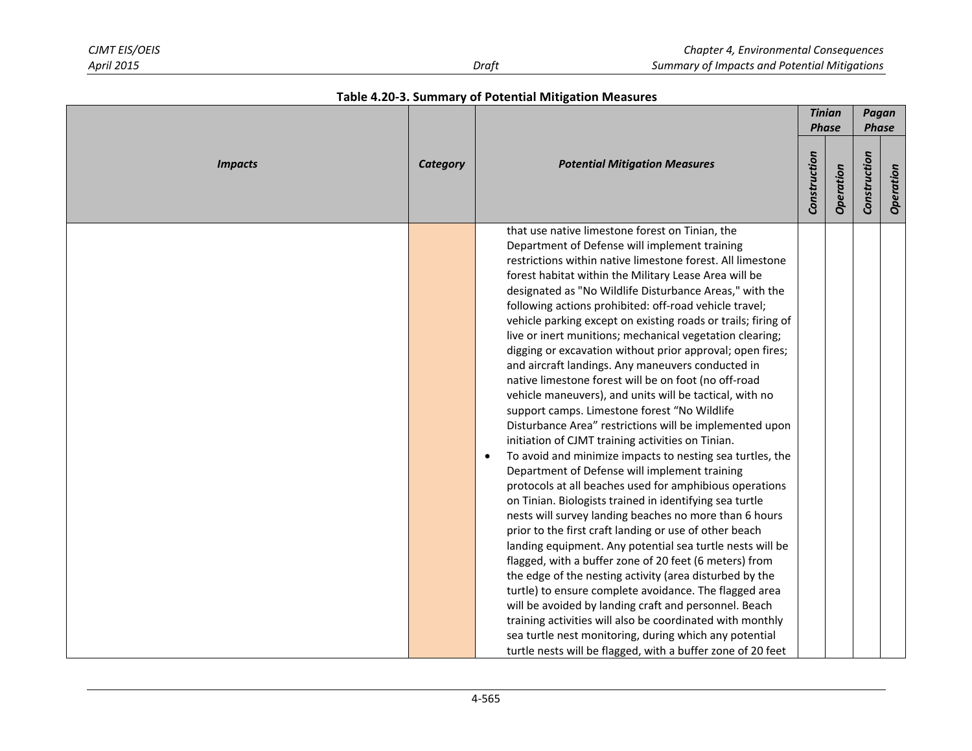|                |                 |                                                                                                                                                                                                                                                                                                                                                                                                                                                                                                                                                                                                                                                                                                                                                                                                                                                                                                                                                                                                                                                                                                                                                                                                                                                                                                                                                                                                                                                                                                                                                                                                                                                                                                                                                |              | <b>Tinian</b><br><b>Phase</b> | Pagan<br><b>Phase</b> |           |
|----------------|-----------------|------------------------------------------------------------------------------------------------------------------------------------------------------------------------------------------------------------------------------------------------------------------------------------------------------------------------------------------------------------------------------------------------------------------------------------------------------------------------------------------------------------------------------------------------------------------------------------------------------------------------------------------------------------------------------------------------------------------------------------------------------------------------------------------------------------------------------------------------------------------------------------------------------------------------------------------------------------------------------------------------------------------------------------------------------------------------------------------------------------------------------------------------------------------------------------------------------------------------------------------------------------------------------------------------------------------------------------------------------------------------------------------------------------------------------------------------------------------------------------------------------------------------------------------------------------------------------------------------------------------------------------------------------------------------------------------------------------------------------------------------|--------------|-------------------------------|-----------------------|-----------|
| <b>Impacts</b> | <b>Category</b> | <b>Potential Mitigation Measures</b>                                                                                                                                                                                                                                                                                                                                                                                                                                                                                                                                                                                                                                                                                                                                                                                                                                                                                                                                                                                                                                                                                                                                                                                                                                                                                                                                                                                                                                                                                                                                                                                                                                                                                                           | Construction | Operation                     | Construction          | Operation |
|                |                 | that use native limestone forest on Tinian, the<br>Department of Defense will implement training<br>restrictions within native limestone forest. All limestone<br>forest habitat within the Military Lease Area will be<br>designated as "No Wildlife Disturbance Areas," with the<br>following actions prohibited: off-road vehicle travel;<br>vehicle parking except on existing roads or trails; firing of<br>live or inert munitions; mechanical vegetation clearing;<br>digging or excavation without prior approval; open fires;<br>and aircraft landings. Any maneuvers conducted in<br>native limestone forest will be on foot (no off-road<br>vehicle maneuvers), and units will be tactical, with no<br>support camps. Limestone forest "No Wildlife<br>Disturbance Area" restrictions will be implemented upon<br>initiation of CJMT training activities on Tinian.<br>To avoid and minimize impacts to nesting sea turtles, the<br>$\bullet$<br>Department of Defense will implement training<br>protocols at all beaches used for amphibious operations<br>on Tinian. Biologists trained in identifying sea turtle<br>nests will survey landing beaches no more than 6 hours<br>prior to the first craft landing or use of other beach<br>landing equipment. Any potential sea turtle nests will be<br>flagged, with a buffer zone of 20 feet (6 meters) from<br>the edge of the nesting activity (area disturbed by the<br>turtle) to ensure complete avoidance. The flagged area<br>will be avoided by landing craft and personnel. Beach<br>training activities will also be coordinated with monthly<br>sea turtle nest monitoring, during which any potential<br>turtle nests will be flagged, with a buffer zone of 20 feet |              |                               |                       |           |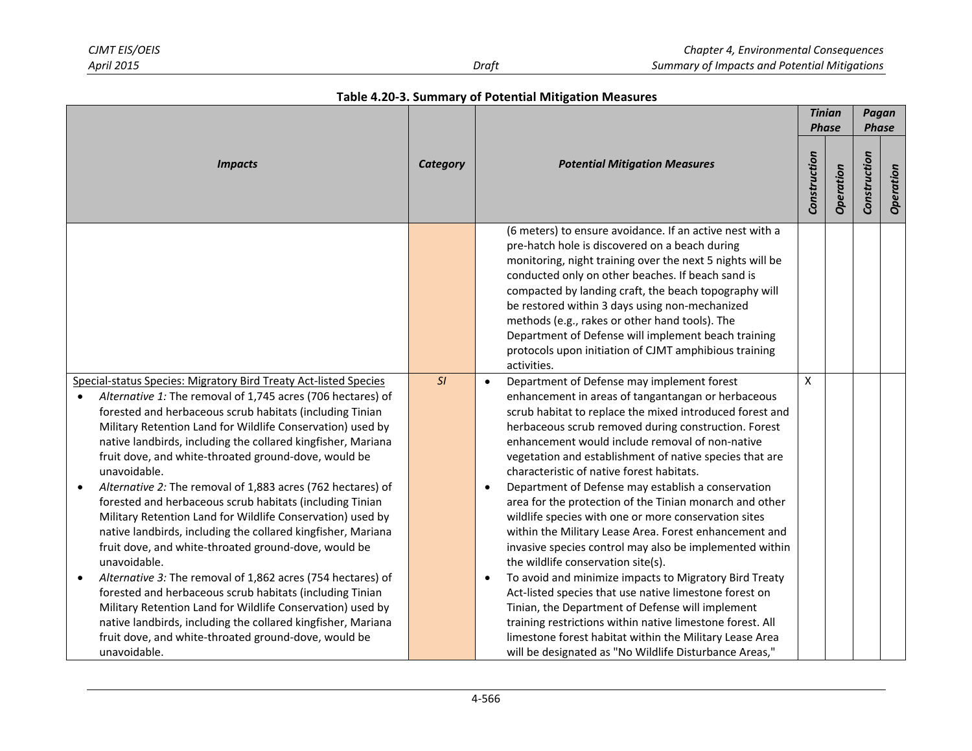|                                                                                                                                                                                                                                                                                                                                                                                                                                                                                                                                                                                                                                                                                                                                                                                                                                                                                                                                                                                                                                                                                                            |    |                                                                                                                                                                                                                                                                                                                                                                                                                                                                                                                                                                                                                                                                                                                                                                                                                                                                                                                                                                                                                                                                                            |                    | <b>Tinian</b><br><b>Phase</b> |              | Pagan<br><b>Phase</b> |
|------------------------------------------------------------------------------------------------------------------------------------------------------------------------------------------------------------------------------------------------------------------------------------------------------------------------------------------------------------------------------------------------------------------------------------------------------------------------------------------------------------------------------------------------------------------------------------------------------------------------------------------------------------------------------------------------------------------------------------------------------------------------------------------------------------------------------------------------------------------------------------------------------------------------------------------------------------------------------------------------------------------------------------------------------------------------------------------------------------|----|--------------------------------------------------------------------------------------------------------------------------------------------------------------------------------------------------------------------------------------------------------------------------------------------------------------------------------------------------------------------------------------------------------------------------------------------------------------------------------------------------------------------------------------------------------------------------------------------------------------------------------------------------------------------------------------------------------------------------------------------------------------------------------------------------------------------------------------------------------------------------------------------------------------------------------------------------------------------------------------------------------------------------------------------------------------------------------------------|--------------------|-------------------------------|--------------|-----------------------|
| <b>Impacts</b>                                                                                                                                                                                                                                                                                                                                                                                                                                                                                                                                                                                                                                                                                                                                                                                                                                                                                                                                                                                                                                                                                             |    | <b>Potential Mitigation Measures</b>                                                                                                                                                                                                                                                                                                                                                                                                                                                                                                                                                                                                                                                                                                                                                                                                                                                                                                                                                                                                                                                       | Construction       | Operation                     | Construction | Operation             |
|                                                                                                                                                                                                                                                                                                                                                                                                                                                                                                                                                                                                                                                                                                                                                                                                                                                                                                                                                                                                                                                                                                            |    | (6 meters) to ensure avoidance. If an active nest with a<br>pre-hatch hole is discovered on a beach during<br>monitoring, night training over the next 5 nights will be<br>conducted only on other beaches. If beach sand is<br>compacted by landing craft, the beach topography will<br>be restored within 3 days using non-mechanized<br>methods (e.g., rakes or other hand tools). The<br>Department of Defense will implement beach training<br>protocols upon initiation of CJMT amphibious training<br>activities.                                                                                                                                                                                                                                                                                                                                                                                                                                                                                                                                                                   |                    |                               |              |                       |
| Special-status Species: Migratory Bird Treaty Act-listed Species<br>Alternative 1: The removal of 1,745 acres (706 hectares) of<br>$\bullet$<br>forested and herbaceous scrub habitats (including Tinian<br>Military Retention Land for Wildlife Conservation) used by<br>native landbirds, including the collared kingfisher, Mariana<br>fruit dove, and white-throated ground-dove, would be<br>unavoidable.<br>Alternative 2: The removal of 1,883 acres (762 hectares) of<br>$\bullet$<br>forested and herbaceous scrub habitats (including Tinian<br>Military Retention Land for Wildlife Conservation) used by<br>native landbirds, including the collared kingfisher, Mariana<br>fruit dove, and white-throated ground-dove, would be<br>unavoidable.<br>Alternative 3: The removal of 1,862 acres (754 hectares) of<br>$\bullet$<br>forested and herbaceous scrub habitats (including Tinian<br>Military Retention Land for Wildlife Conservation) used by<br>native landbirds, including the collared kingfisher, Mariana<br>fruit dove, and white-throated ground-dove, would be<br>unavoidable. | SI | Department of Defense may implement forest<br>$\bullet$<br>enhancement in areas of tangantangan or herbaceous<br>scrub habitat to replace the mixed introduced forest and<br>herbaceous scrub removed during construction. Forest<br>enhancement would include removal of non-native<br>vegetation and establishment of native species that are<br>characteristic of native forest habitats.<br>Department of Defense may establish a conservation<br>area for the protection of the Tinian monarch and other<br>wildlife species with one or more conservation sites<br>within the Military Lease Area. Forest enhancement and<br>invasive species control may also be implemented within<br>the wildlife conservation site(s).<br>To avoid and minimize impacts to Migratory Bird Treaty<br>Act-listed species that use native limestone forest on<br>Tinian, the Department of Defense will implement<br>training restrictions within native limestone forest. All<br>limestone forest habitat within the Military Lease Area<br>will be designated as "No Wildlife Disturbance Areas," | $\pmb{\mathsf{X}}$ |                               |              |                       |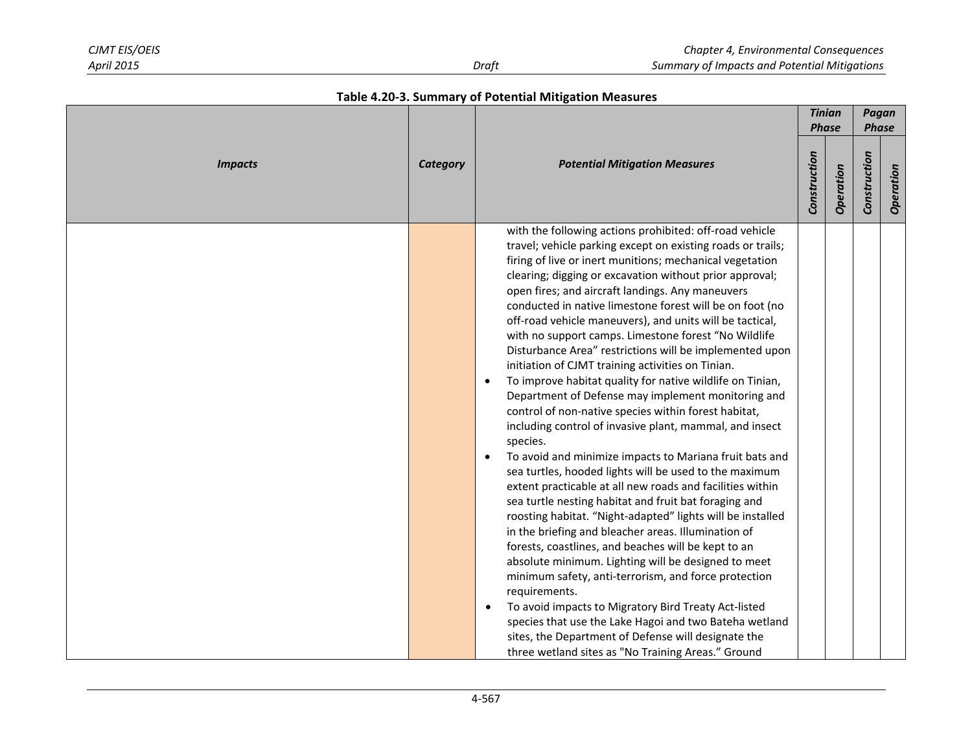|                |                 |                                                                                                                                                                                                                                                                                                                                                                                                                                                                                                                                                                                                                                                                                                                                                                                                                                                                                                                                                                                                                                                                                                                                                                                                                                                                                                                                                                                                                                                                                                                                                                                                                                                                                  |              | <b>Tinian</b><br><b>Phase</b> | Pagan<br><b>Phase</b> |           |
|----------------|-----------------|----------------------------------------------------------------------------------------------------------------------------------------------------------------------------------------------------------------------------------------------------------------------------------------------------------------------------------------------------------------------------------------------------------------------------------------------------------------------------------------------------------------------------------------------------------------------------------------------------------------------------------------------------------------------------------------------------------------------------------------------------------------------------------------------------------------------------------------------------------------------------------------------------------------------------------------------------------------------------------------------------------------------------------------------------------------------------------------------------------------------------------------------------------------------------------------------------------------------------------------------------------------------------------------------------------------------------------------------------------------------------------------------------------------------------------------------------------------------------------------------------------------------------------------------------------------------------------------------------------------------------------------------------------------------------------|--------------|-------------------------------|-----------------------|-----------|
| <b>Impacts</b> | <b>Category</b> | <b>Potential Mitigation Measures</b>                                                                                                                                                                                                                                                                                                                                                                                                                                                                                                                                                                                                                                                                                                                                                                                                                                                                                                                                                                                                                                                                                                                                                                                                                                                                                                                                                                                                                                                                                                                                                                                                                                             | Construction | Operation                     | Construction          | Operation |
|                |                 | with the following actions prohibited: off-road vehicle<br>travel; vehicle parking except on existing roads or trails;<br>firing of live or inert munitions; mechanical vegetation<br>clearing; digging or excavation without prior approval;<br>open fires; and aircraft landings. Any maneuvers<br>conducted in native limestone forest will be on foot (no<br>off-road vehicle maneuvers), and units will be tactical,<br>with no support camps. Limestone forest "No Wildlife<br>Disturbance Area" restrictions will be implemented upon<br>initiation of CJMT training activities on Tinian.<br>To improve habitat quality for native wildlife on Tinian,<br>$\bullet$<br>Department of Defense may implement monitoring and<br>control of non-native species within forest habitat,<br>including control of invasive plant, mammal, and insect<br>species.<br>To avoid and minimize impacts to Mariana fruit bats and<br>$\bullet$<br>sea turtles, hooded lights will be used to the maximum<br>extent practicable at all new roads and facilities within<br>sea turtle nesting habitat and fruit bat foraging and<br>roosting habitat. "Night-adapted" lights will be installed<br>in the briefing and bleacher areas. Illumination of<br>forests, coastlines, and beaches will be kept to an<br>absolute minimum. Lighting will be designed to meet<br>minimum safety, anti-terrorism, and force protection<br>requirements.<br>To avoid impacts to Migratory Bird Treaty Act-listed<br>$\bullet$<br>species that use the Lake Hagoi and two Bateha wetland<br>sites, the Department of Defense will designate the<br>three wetland sites as "No Training Areas." Ground |              |                               |                       |           |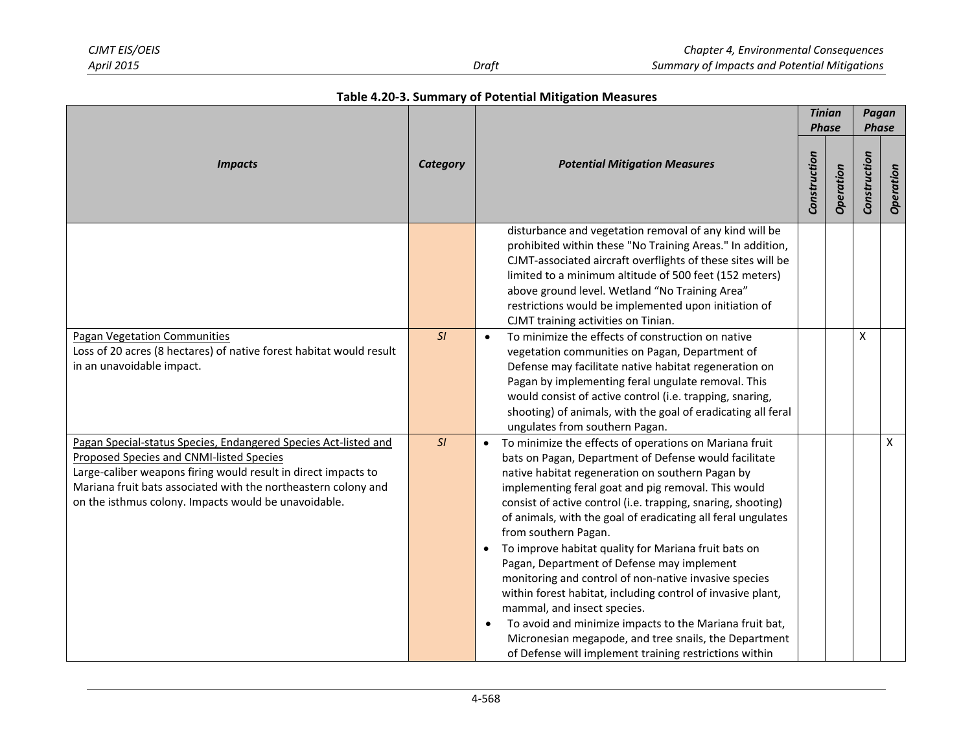| Table 4.20-3. Summary of Potential Mitigation Measures |  |  |  |  |
|--------------------------------------------------------|--|--|--|--|
|--------------------------------------------------------|--|--|--|--|

|                                                                                                                                                                                                                                                                                                         |    |                                                                                                                                                                                                                                                                                                                                                                                                                                                                                                                                                                                                                                                                                                                                                                                                                                            |                              |           | Pagan<br><b>Phase</b> |           |
|---------------------------------------------------------------------------------------------------------------------------------------------------------------------------------------------------------------------------------------------------------------------------------------------------------|----|--------------------------------------------------------------------------------------------------------------------------------------------------------------------------------------------------------------------------------------------------------------------------------------------------------------------------------------------------------------------------------------------------------------------------------------------------------------------------------------------------------------------------------------------------------------------------------------------------------------------------------------------------------------------------------------------------------------------------------------------------------------------------------------------------------------------------------------------|------------------------------|-----------|-----------------------|-----------|
| <b>Impacts</b>                                                                                                                                                                                                                                                                                          |    | <b>Potential Mitigation Measures</b>                                                                                                                                                                                                                                                                                                                                                                                                                                                                                                                                                                                                                                                                                                                                                                                                       | <b>Phase</b><br>Construction | Operation | Construction          | Operation |
|                                                                                                                                                                                                                                                                                                         |    | disturbance and vegetation removal of any kind will be<br>prohibited within these "No Training Areas." In addition,<br>CJMT-associated aircraft overflights of these sites will be<br>limited to a minimum altitude of 500 feet (152 meters)<br>above ground level. Wetland "No Training Area"<br>restrictions would be implemented upon initiation of<br>CJMT training activities on Tinian.                                                                                                                                                                                                                                                                                                                                                                                                                                              |                              |           |                       |           |
| <b>Pagan Vegetation Communities</b><br>Loss of 20 acres (8 hectares) of native forest habitat would result<br>in an unavoidable impact.                                                                                                                                                                 | SI | To minimize the effects of construction on native<br>vegetation communities on Pagan, Department of<br>Defense may facilitate native habitat regeneration on<br>Pagan by implementing feral ungulate removal. This<br>would consist of active control (i.e. trapping, snaring,<br>shooting) of animals, with the goal of eradicating all feral<br>ungulates from southern Pagan.                                                                                                                                                                                                                                                                                                                                                                                                                                                           |                              |           | X                     |           |
| Pagan Special-status Species, Endangered Species Act-listed and<br>Proposed Species and CNMI-listed Species<br>Large-caliber weapons firing would result in direct impacts to<br>Mariana fruit bats associated with the northeastern colony and<br>on the isthmus colony. Impacts would be unavoidable. | SI | To minimize the effects of operations on Mariana fruit<br>bats on Pagan, Department of Defense would facilitate<br>native habitat regeneration on southern Pagan by<br>implementing feral goat and pig removal. This would<br>consist of active control (i.e. trapping, snaring, shooting)<br>of animals, with the goal of eradicating all feral ungulates<br>from southern Pagan.<br>To improve habitat quality for Mariana fruit bats on<br>Pagan, Department of Defense may implement<br>monitoring and control of non-native invasive species<br>within forest habitat, including control of invasive plant,<br>mammal, and insect species.<br>To avoid and minimize impacts to the Mariana fruit bat,<br>$\bullet$<br>Micronesian megapode, and tree snails, the Department<br>of Defense will implement training restrictions within |                              |           |                       | X         |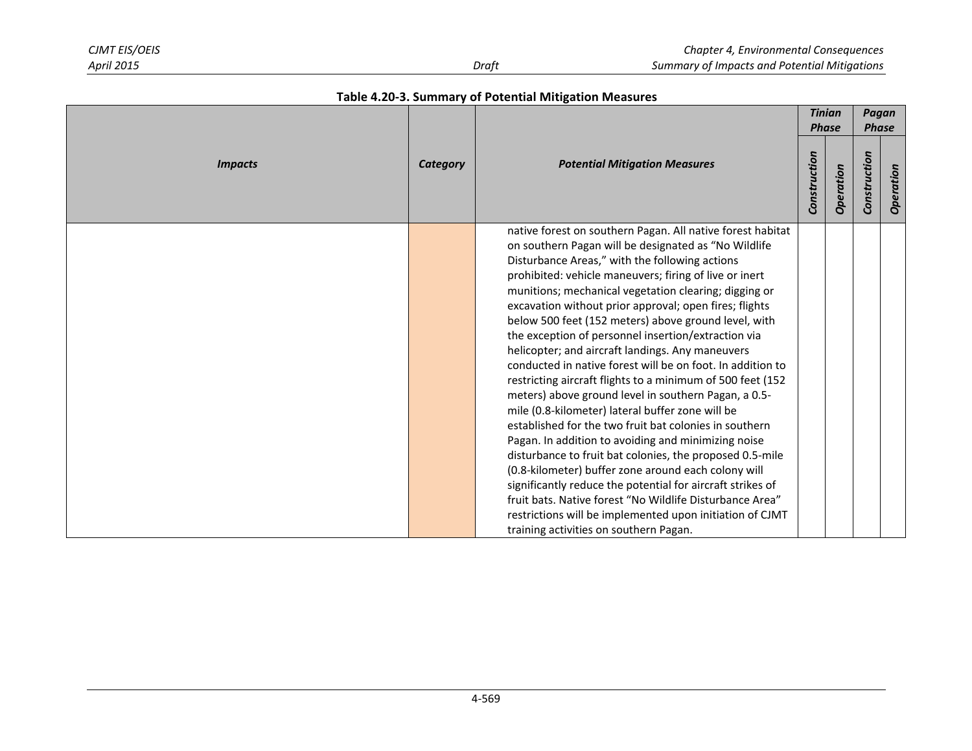|                | Category |                                                                                                                                                                                                                                                                                                                                                                                                                                                                                                                                                                                                                                                                                                                                                                                                                                                                                                                                                                                                                                                                                                                                                                                                                                  |              | <b>Tinian</b><br><b>Phase</b> | Pagan<br><b>Phase</b> |           |
|----------------|----------|----------------------------------------------------------------------------------------------------------------------------------------------------------------------------------------------------------------------------------------------------------------------------------------------------------------------------------------------------------------------------------------------------------------------------------------------------------------------------------------------------------------------------------------------------------------------------------------------------------------------------------------------------------------------------------------------------------------------------------------------------------------------------------------------------------------------------------------------------------------------------------------------------------------------------------------------------------------------------------------------------------------------------------------------------------------------------------------------------------------------------------------------------------------------------------------------------------------------------------|--------------|-------------------------------|-----------------------|-----------|
| <b>Impacts</b> |          | <b>Potential Mitigation Measures</b>                                                                                                                                                                                                                                                                                                                                                                                                                                                                                                                                                                                                                                                                                                                                                                                                                                                                                                                                                                                                                                                                                                                                                                                             | Construction | Operation                     | Construction          | Operation |
|                |          | native forest on southern Pagan. All native forest habitat<br>on southern Pagan will be designated as "No Wildlife<br>Disturbance Areas," with the following actions<br>prohibited: vehicle maneuvers; firing of live or inert<br>munitions; mechanical vegetation clearing; digging or<br>excavation without prior approval; open fires; flights<br>below 500 feet (152 meters) above ground level, with<br>the exception of personnel insertion/extraction via<br>helicopter; and aircraft landings. Any maneuvers<br>conducted in native forest will be on foot. In addition to<br>restricting aircraft flights to a minimum of 500 feet (152<br>meters) above ground level in southern Pagan, a 0.5-<br>mile (0.8-kilometer) lateral buffer zone will be<br>established for the two fruit bat colonies in southern<br>Pagan. In addition to avoiding and minimizing noise<br>disturbance to fruit bat colonies, the proposed 0.5-mile<br>(0.8-kilometer) buffer zone around each colony will<br>significantly reduce the potential for aircraft strikes of<br>fruit bats. Native forest "No Wildlife Disturbance Area"<br>restrictions will be implemented upon initiation of CJMT<br>training activities on southern Pagan. |              |                               |                       |           |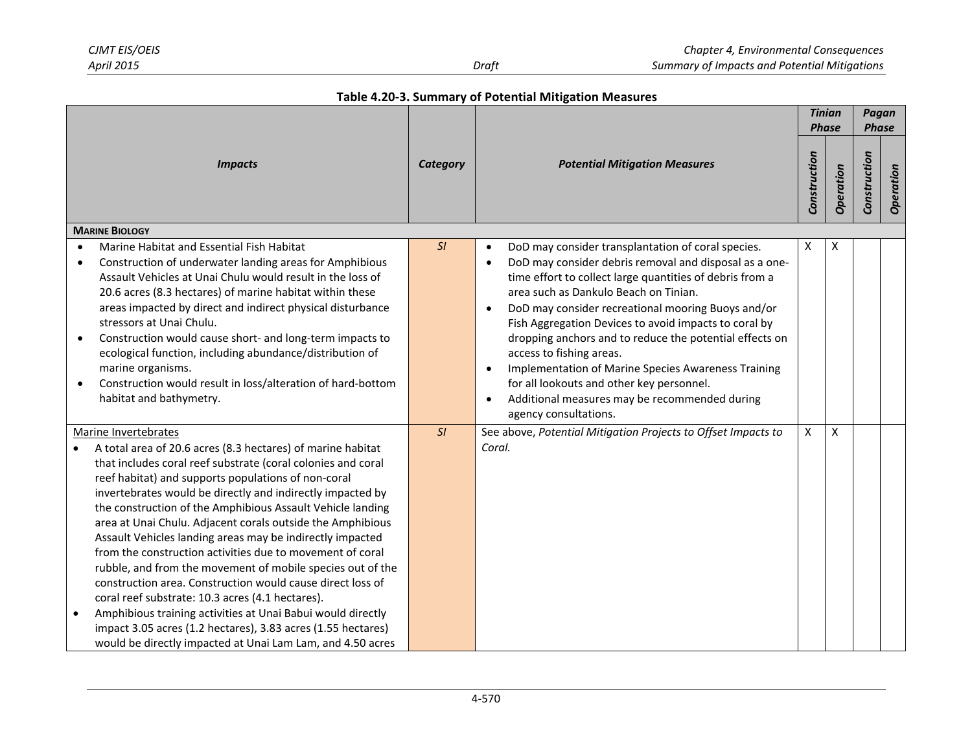| Table 4.20-3. Summary of Potential Mitigation Measures |  |  |  |  |
|--------------------------------------------------------|--|--|--|--|
|--------------------------------------------------------|--|--|--|--|

| <b>Impacts</b>                      |                                                                                                                                                                                                                                                                                                                                                                                                                                                                                                                                                                                                                                                                                                                                                                                                                                                                                                             |                 | <b>Potential Mitigation Measures</b>                                                                                                                                                                                                                                                                                                                                                                                                                                                                                                                                                                                                                                   |   | <b>Tinian</b><br><b>Phase</b> |              | Pagan<br><b>Phase</b> |  |
|-------------------------------------|-------------------------------------------------------------------------------------------------------------------------------------------------------------------------------------------------------------------------------------------------------------------------------------------------------------------------------------------------------------------------------------------------------------------------------------------------------------------------------------------------------------------------------------------------------------------------------------------------------------------------------------------------------------------------------------------------------------------------------------------------------------------------------------------------------------------------------------------------------------------------------------------------------------|-----------------|------------------------------------------------------------------------------------------------------------------------------------------------------------------------------------------------------------------------------------------------------------------------------------------------------------------------------------------------------------------------------------------------------------------------------------------------------------------------------------------------------------------------------------------------------------------------------------------------------------------------------------------------------------------------|---|-------------------------------|--------------|-----------------------|--|
|                                     |                                                                                                                                                                                                                                                                                                                                                                                                                                                                                                                                                                                                                                                                                                                                                                                                                                                                                                             | <b>Category</b> |                                                                                                                                                                                                                                                                                                                                                                                                                                                                                                                                                                                                                                                                        |   | Operation                     | Construction | Operation             |  |
|                                     | <b>MARINE BIOLOGY</b>                                                                                                                                                                                                                                                                                                                                                                                                                                                                                                                                                                                                                                                                                                                                                                                                                                                                                       |                 |                                                                                                                                                                                                                                                                                                                                                                                                                                                                                                                                                                                                                                                                        |   |                               |              |                       |  |
| $\bullet$<br>$\bullet$<br>$\bullet$ | Marine Habitat and Essential Fish Habitat<br>Construction of underwater landing areas for Amphibious<br>Assault Vehicles at Unai Chulu would result in the loss of<br>20.6 acres (8.3 hectares) of marine habitat within these<br>areas impacted by direct and indirect physical disturbance<br>stressors at Unai Chulu.<br>Construction would cause short- and long-term impacts to<br>ecological function, including abundance/distribution of<br>marine organisms.<br>Construction would result in loss/alteration of hard-bottom<br>habitat and bathymetry.                                                                                                                                                                                                                                                                                                                                             | SI              | DoD may consider transplantation of coral species.<br>$\bullet$<br>DoD may consider debris removal and disposal as a one-<br>$\bullet$<br>time effort to collect large quantities of debris from a<br>area such as Dankulo Beach on Tinian.<br>DoD may consider recreational mooring Buoys and/or<br>$\bullet$<br>Fish Aggregation Devices to avoid impacts to coral by<br>dropping anchors and to reduce the potential effects on<br>access to fishing areas.<br>Implementation of Marine Species Awareness Training<br>$\bullet$<br>for all lookouts and other key personnel.<br>Additional measures may be recommended during<br>$\bullet$<br>agency consultations. | X | X                             |              |                       |  |
| $\bullet$                           | Marine Invertebrates<br>A total area of 20.6 acres (8.3 hectares) of marine habitat<br>that includes coral reef substrate (coral colonies and coral<br>reef habitat) and supports populations of non-coral<br>invertebrates would be directly and indirectly impacted by<br>the construction of the Amphibious Assault Vehicle landing<br>area at Unai Chulu. Adjacent corals outside the Amphibious<br>Assault Vehicles landing areas may be indirectly impacted<br>from the construction activities due to movement of coral<br>rubble, and from the movement of mobile species out of the<br>construction area. Construction would cause direct loss of<br>coral reef substrate: 10.3 acres (4.1 hectares).<br>Amphibious training activities at Unai Babui would directly<br>impact 3.05 acres (1.2 hectares), 3.83 acres (1.55 hectares)<br>would be directly impacted at Unai Lam Lam, and 4.50 acres | SI              | See above, Potential Mitigation Projects to Offset Impacts to<br>Coral.                                                                                                                                                                                                                                                                                                                                                                                                                                                                                                                                                                                                | X | $\pmb{\mathsf{X}}$            |              |                       |  |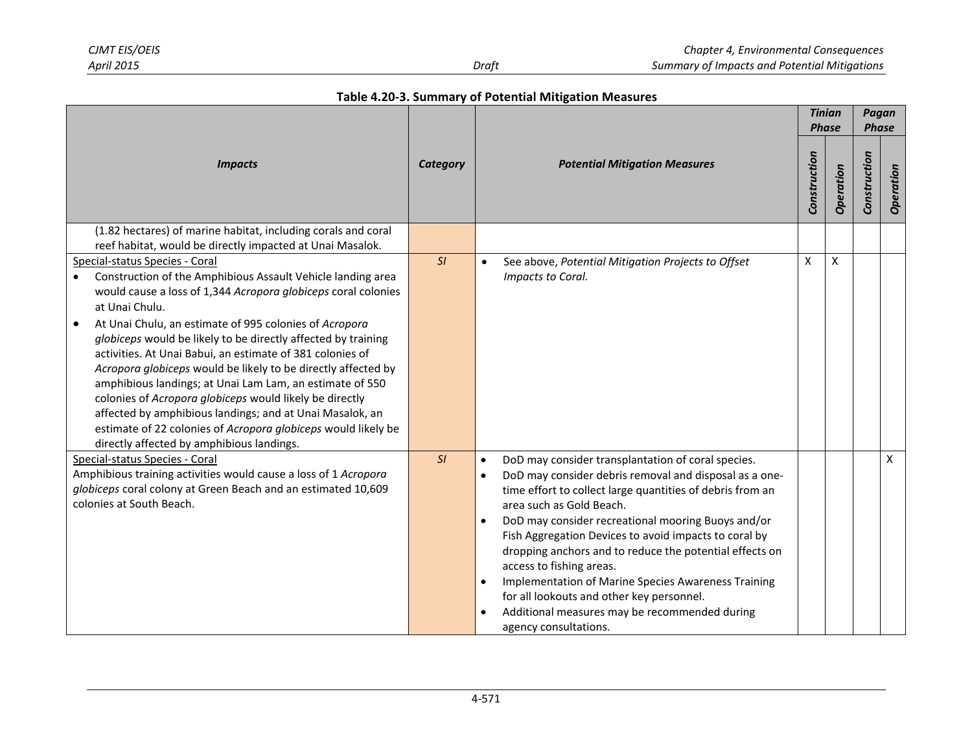|                                                                                                                                                                                                                                                                                                                                                                                                                                                                                                                                                                                                                                                                                                                                            | <b>Category</b> | <b>Potential Mitigation Measures</b>                                                                                                                                                                                                                                                                                                                                                                                                                                                                                                                                                                                             |   | <b>Tinian</b><br><b>Phase</b> |              | Pagan<br><b>Phase</b> |  |
|--------------------------------------------------------------------------------------------------------------------------------------------------------------------------------------------------------------------------------------------------------------------------------------------------------------------------------------------------------------------------------------------------------------------------------------------------------------------------------------------------------------------------------------------------------------------------------------------------------------------------------------------------------------------------------------------------------------------------------------------|-----------------|----------------------------------------------------------------------------------------------------------------------------------------------------------------------------------------------------------------------------------------------------------------------------------------------------------------------------------------------------------------------------------------------------------------------------------------------------------------------------------------------------------------------------------------------------------------------------------------------------------------------------------|---|-------------------------------|--------------|-----------------------|--|
| <b>Impacts</b>                                                                                                                                                                                                                                                                                                                                                                                                                                                                                                                                                                                                                                                                                                                             |                 |                                                                                                                                                                                                                                                                                                                                                                                                                                                                                                                                                                                                                                  |   | Operation                     | Construction | Operation             |  |
| (1.82 hectares) of marine habitat, including corals and coral<br>reef habitat, would be directly impacted at Unai Masalok.                                                                                                                                                                                                                                                                                                                                                                                                                                                                                                                                                                                                                 |                 |                                                                                                                                                                                                                                                                                                                                                                                                                                                                                                                                                                                                                                  |   |                               |              |                       |  |
| Special-status Species - Coral<br>Construction of the Amphibious Assault Vehicle landing area<br>would cause a loss of 1,344 Acropora globiceps coral colonies<br>at Unai Chulu.<br>At Unai Chulu, an estimate of 995 colonies of Acropora<br>globiceps would be likely to be directly affected by training<br>activities. At Unai Babui, an estimate of 381 colonies of<br>Acropora globiceps would be likely to be directly affected by<br>amphibious landings; at Unai Lam Lam, an estimate of 550<br>colonies of Acropora globiceps would likely be directly<br>affected by amphibious landings; and at Unai Masalok, an<br>estimate of 22 colonies of Acropora globiceps would likely be<br>directly affected by amphibious landings. | SI              | See above, Potential Mitigation Projects to Offset<br>$\bullet$<br>Impacts to Coral.                                                                                                                                                                                                                                                                                                                                                                                                                                                                                                                                             | X | X                             |              |                       |  |
| Special-status Species - Coral<br>Amphibious training activities would cause a loss of 1 Acropora<br>globiceps coral colony at Green Beach and an estimated 10,609<br>colonies at South Beach.                                                                                                                                                                                                                                                                                                                                                                                                                                                                                                                                             | SI              | DoD may consider transplantation of coral species.<br>$\bullet$<br>DoD may consider debris removal and disposal as a one-<br>$\bullet$<br>time effort to collect large quantities of debris from an<br>area such as Gold Beach.<br>DoD may consider recreational mooring Buoys and/or<br>Fish Aggregation Devices to avoid impacts to coral by<br>dropping anchors and to reduce the potential effects on<br>access to fishing areas.<br>Implementation of Marine Species Awareness Training<br>$\bullet$<br>for all lookouts and other key personnel.<br>Additional measures may be recommended during<br>agency consultations. |   |                               |              | X                     |  |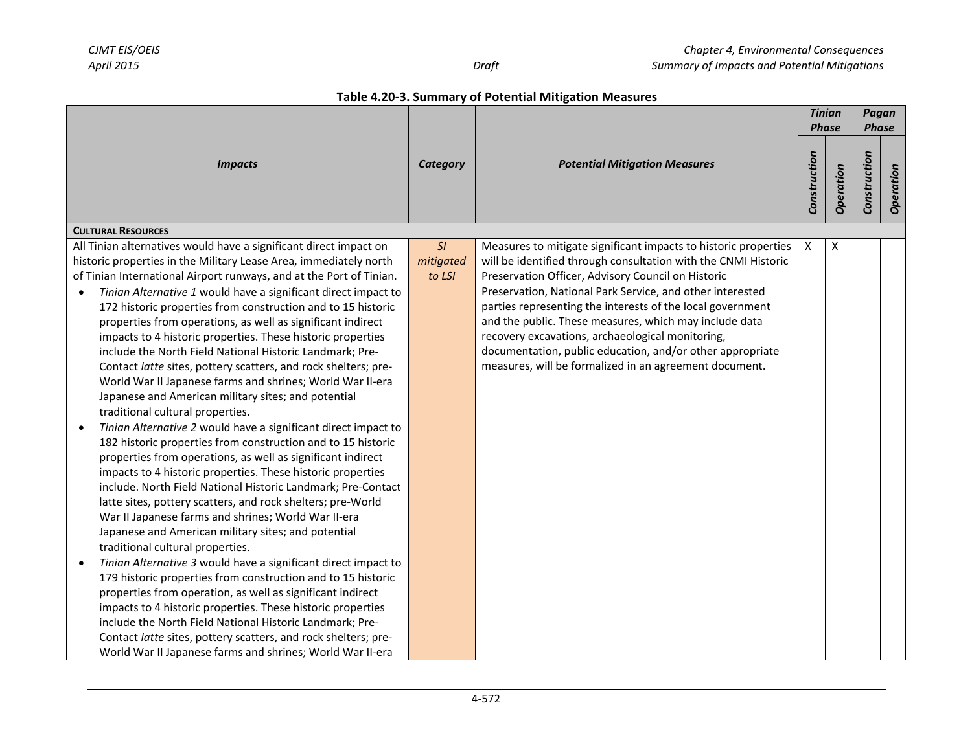|  |  | Table 4.20-3. Summary of Potential Mitigation Measures |  |  |
|--|--|--------------------------------------------------------|--|--|
|--|--|--------------------------------------------------------|--|--|

| <b>Impacts</b>                                                                                                                                                                                                                                                                                                                                                                                                                                                                                                                                                                                                                                                                                                                                                                                                                                                                                                                                                                                                                                                                                                                                                                                                                                                                                                                                                                                                                                                                                                                                                                                                                                                                                                                                                                                           |                           | <b>Potential Mitigation Measures</b>                                                                                                                                                                                                                                                                                                                                                                                                                                                                                                                    |   | <b>Tinian</b><br><b>Phase</b> |              | Pagan<br><b>Phase</b> |
|----------------------------------------------------------------------------------------------------------------------------------------------------------------------------------------------------------------------------------------------------------------------------------------------------------------------------------------------------------------------------------------------------------------------------------------------------------------------------------------------------------------------------------------------------------------------------------------------------------------------------------------------------------------------------------------------------------------------------------------------------------------------------------------------------------------------------------------------------------------------------------------------------------------------------------------------------------------------------------------------------------------------------------------------------------------------------------------------------------------------------------------------------------------------------------------------------------------------------------------------------------------------------------------------------------------------------------------------------------------------------------------------------------------------------------------------------------------------------------------------------------------------------------------------------------------------------------------------------------------------------------------------------------------------------------------------------------------------------------------------------------------------------------------------------------|---------------------------|---------------------------------------------------------------------------------------------------------------------------------------------------------------------------------------------------------------------------------------------------------------------------------------------------------------------------------------------------------------------------------------------------------------------------------------------------------------------------------------------------------------------------------------------------------|---|-------------------------------|--------------|-----------------------|
|                                                                                                                                                                                                                                                                                                                                                                                                                                                                                                                                                                                                                                                                                                                                                                                                                                                                                                                                                                                                                                                                                                                                                                                                                                                                                                                                                                                                                                                                                                                                                                                                                                                                                                                                                                                                          |                           |                                                                                                                                                                                                                                                                                                                                                                                                                                                                                                                                                         |   | Operation                     | Construction | Operation             |
| <b>CULTURAL RESOURCES</b>                                                                                                                                                                                                                                                                                                                                                                                                                                                                                                                                                                                                                                                                                                                                                                                                                                                                                                                                                                                                                                                                                                                                                                                                                                                                                                                                                                                                                                                                                                                                                                                                                                                                                                                                                                                |                           |                                                                                                                                                                                                                                                                                                                                                                                                                                                                                                                                                         |   |                               |              |                       |
| All Tinian alternatives would have a significant direct impact on<br>historic properties in the Military Lease Area, immediately north<br>of Tinian International Airport runways, and at the Port of Tinian.<br>Tinian Alternative 1 would have a significant direct impact to<br>172 historic properties from construction and to 15 historic<br>properties from operations, as well as significant indirect<br>impacts to 4 historic properties. These historic properties<br>include the North Field National Historic Landmark; Pre-<br>Contact latte sites, pottery scatters, and rock shelters; pre-<br>World War II Japanese farms and shrines; World War II-era<br>Japanese and American military sites; and potential<br>traditional cultural properties.<br>Tinian Alternative 2 would have a significant direct impact to<br>$\bullet$<br>182 historic properties from construction and to 15 historic<br>properties from operations, as well as significant indirect<br>impacts to 4 historic properties. These historic properties<br>include. North Field National Historic Landmark; Pre-Contact<br>latte sites, pottery scatters, and rock shelters; pre-World<br>War II Japanese farms and shrines; World War II-era<br>Japanese and American military sites; and potential<br>traditional cultural properties.<br>Tinian Alternative 3 would have a significant direct impact to<br>$\bullet$<br>179 historic properties from construction and to 15 historic<br>properties from operation, as well as significant indirect<br>impacts to 4 historic properties. These historic properties<br>include the North Field National Historic Landmark; Pre-<br>Contact latte sites, pottery scatters, and rock shelters; pre-<br>World War II Japanese farms and shrines; World War II-era | SI<br>mitigated<br>to LSI | Measures to mitigate significant impacts to historic properties<br>will be identified through consultation with the CNMI Historic<br>Preservation Officer, Advisory Council on Historic<br>Preservation, National Park Service, and other interested<br>parties representing the interests of the local government<br>and the public. These measures, which may include data<br>recovery excavations, archaeological monitoring,<br>documentation, public education, and/or other appropriate<br>measures, will be formalized in an agreement document. | Χ | X                             |              |                       |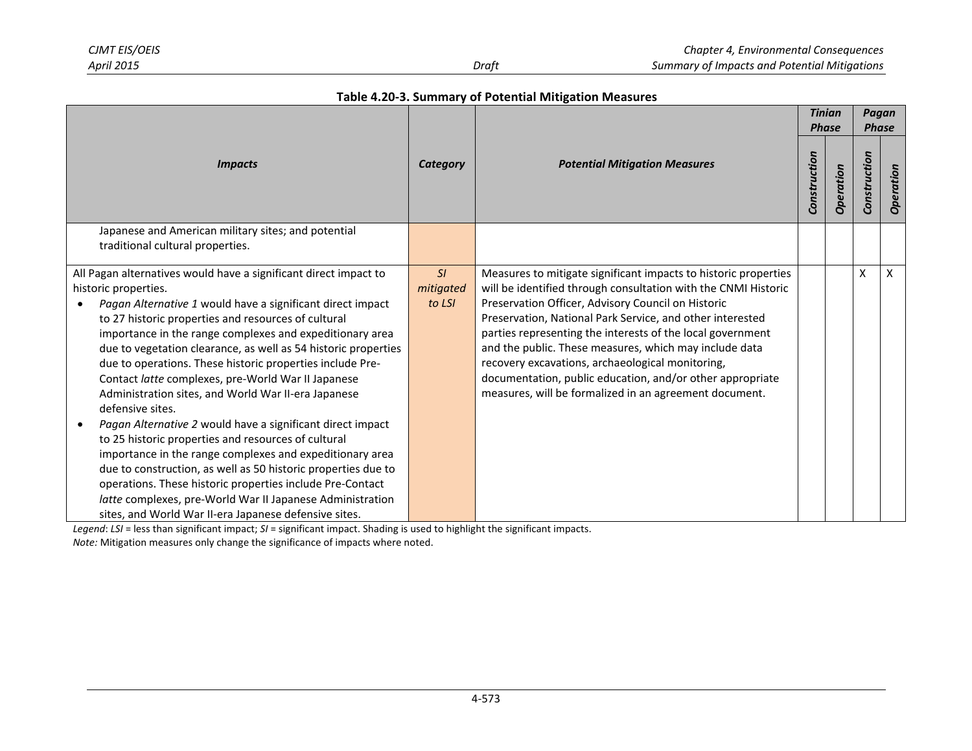|                                                                                                                                                                                                                                                                                                                                                                                                                                                                                                                                                                                                                                                                                                                                                                                                                                                                                                                                                                                | <b>Category</b>           | <b>Potential Mitigation Measures</b>                                                                                                                                                                                                                                                                                                                                                                                                                                                                                                                    |  | <b>Tinian</b><br><b>Phase</b> |              | Pagan<br><b>Phase</b> |  |
|--------------------------------------------------------------------------------------------------------------------------------------------------------------------------------------------------------------------------------------------------------------------------------------------------------------------------------------------------------------------------------------------------------------------------------------------------------------------------------------------------------------------------------------------------------------------------------------------------------------------------------------------------------------------------------------------------------------------------------------------------------------------------------------------------------------------------------------------------------------------------------------------------------------------------------------------------------------------------------|---------------------------|---------------------------------------------------------------------------------------------------------------------------------------------------------------------------------------------------------------------------------------------------------------------------------------------------------------------------------------------------------------------------------------------------------------------------------------------------------------------------------------------------------------------------------------------------------|--|-------------------------------|--------------|-----------------------|--|
| <b>Impacts</b>                                                                                                                                                                                                                                                                                                                                                                                                                                                                                                                                                                                                                                                                                                                                                                                                                                                                                                                                                                 |                           |                                                                                                                                                                                                                                                                                                                                                                                                                                                                                                                                                         |  | Operation                     | Construction | Operation             |  |
| Japanese and American military sites; and potential                                                                                                                                                                                                                                                                                                                                                                                                                                                                                                                                                                                                                                                                                                                                                                                                                                                                                                                            |                           |                                                                                                                                                                                                                                                                                                                                                                                                                                                                                                                                                         |  |                               |              |                       |  |
| traditional cultural properties.                                                                                                                                                                                                                                                                                                                                                                                                                                                                                                                                                                                                                                                                                                                                                                                                                                                                                                                                               |                           |                                                                                                                                                                                                                                                                                                                                                                                                                                                                                                                                                         |  |                               |              |                       |  |
| All Pagan alternatives would have a significant direct impact to<br>historic properties.<br>Pagan Alternative 1 would have a significant direct impact<br>to 27 historic properties and resources of cultural<br>importance in the range complexes and expeditionary area<br>due to vegetation clearance, as well as 54 historic properties<br>due to operations. These historic properties include Pre-<br>Contact latte complexes, pre-World War II Japanese<br>Administration sites, and World War II-era Japanese<br>defensive sites.<br>Pagan Alternative 2 would have a significant direct impact<br>to 25 historic properties and resources of cultural<br>importance in the range complexes and expeditionary area<br>due to construction, as well as 50 historic properties due to<br>operations. These historic properties include Pre-Contact<br>latte complexes, pre-World War II Japanese Administration<br>sites, and World War II-era Japanese defensive sites. | SI<br>mitigated<br>to LSI | Measures to mitigate significant impacts to historic properties<br>will be identified through consultation with the CNMI Historic<br>Preservation Officer, Advisory Council on Historic<br>Preservation, National Park Service, and other interested<br>parties representing the interests of the local government<br>and the public. These measures, which may include data<br>recovery excavations, archaeological monitoring,<br>documentation, public education, and/or other appropriate<br>measures, will be formalized in an agreement document. |  |                               | X            | X                     |  |

*Legend*: *LSI* = less than significant impact; *SI* = significant impact. Shading is used to highlight the significant impacts.

*Note:* Mitigation measures only change the significance of impacts where noted.